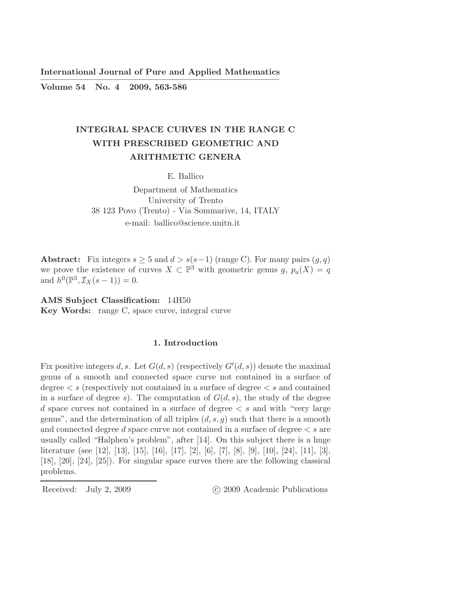International Journal of Pure and Applied Mathematics ————————————————————————–

Volume 54 No. 4 2009, 563-586

# INTEGRAL SPACE CURVES IN THE RANGE C WITH PRESCRIBED GEOMETRIC AND ARITHMETIC GENERA

E. Ballico

Department of Mathematics University of Trento 38 123 Povo (Trento) - Via Sommarive, 14, ITALY e-mail: ballico@science.unitn.it

Abstract: Fix integers  $s \geq 5$  and  $d > s(s-1)$  (range C). For many pairs  $(g, q)$ we prove the existence of curves  $X \subset \mathbb{P}^3$  with geometric genus g,  $p_a(X) = q$ and  $h^0(\mathbb{P}^3, \mathcal{I}_X(s-1)) = 0.$ 

AMS Subject Classification: 14H50 Key Words: range C, space curve, integral curve

## 1. Introduction

Fix positive integers d, s. Let  $G(d, s)$  (respectively  $G'(d, s)$ ) denote the maximal genus of a smooth and connected space curve not contained in a surface of degree  $\lt s$  (respectively not contained in a surface of degree  $\lt s$  and contained in a surface of degree s). The computation of  $G(d, s)$ , the study of the degree d space curves not contained in a surface of degree  $\lt s$  and with "very large genus", and the determination of all triples  $(d, s, q)$  such that there is a smooth and connected degree d space curve not contained in a surface of degree  $\lt s$  are usually called "Halphen's problem", after [14]. On this subject there is a huge literature (see [12], [13], [15], [16], [17], [2], [6], [7], [8], [9], [10], [24], [11], [3], [18], [20], [24], [25]). For singular space curves there are the following classical problems.

Received: July 2, 2009 (C) 2009 Academic Publications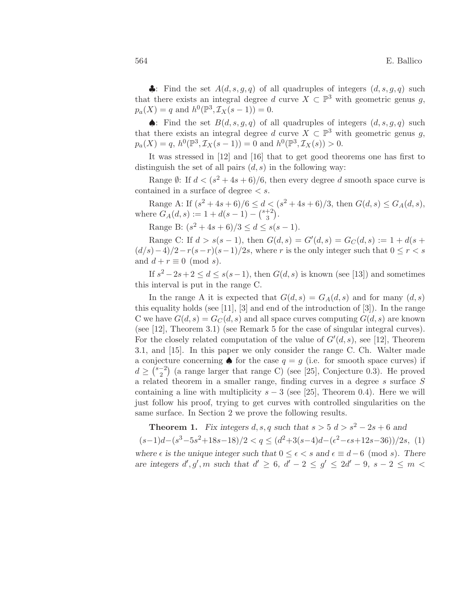•: Find the set  $A(d, s, q, q)$  of all quadruples of integers  $(d, s, q, q)$  such that there exists an integral degree d curve  $X \subset \mathbb{P}^3$  with geometric genus g,  $p_a(X) = q$  and  $h^0(\mathbb{P}^3, \mathcal{I}_X(s-1)) = 0.$ 

◆: Find the set  $B(d, s, g, q)$  of all quadruples of integers  $(d, s, g, q)$  such that there exists an integral degree d curve  $X \subset \mathbb{P}^3$  with geometric genus g,  $p_a(X) = q, h^0(\mathbb{P}^3, \mathcal{I}_X(s-1)) = 0$  and  $h^0(\mathbb{P}^3, \mathcal{I}_X(s)) > 0$ .

It was stressed in [12] and [16] that to get good theorems one has first to distinguish the set of all pairs  $(d, s)$  in the following way:

Range  $\emptyset$ : If  $d < (s^2 + 4s + 6)/6$ , then every degree d smooth space curve is contained in a surface of degree  $\lt s$ .

Range A: If  $(s^2 + 4s + 6)/6 \le d < (s^2 + 4s + 6)/3$ , then  $G(d, s) \le G_A(d, s)$ , where  $G_A(d, s) := 1 + d(s - 1) - \binom{s + 2}{3}$  $\binom{+2}{3}$ .

Range B:  $(s^2 + 4s + 6)/3 \le d \le s(s - 1)$ .

Range C: If  $d > s(s-1)$ , then  $G(d, s) = G'(d, s) = G_C(d, s) := 1 + d(s + s)$  $(d/s)-4/2-r(s-r)(s-1)/2s$ , where r is the only integer such that  $0 \le r < s$ and  $d + r \equiv 0 \pmod{s}$ .

If  $s^2 - 2s + 2 \le d \le s(s-1)$ , then  $G(d, s)$  is known (see [13]) and sometimes this interval is put in the range C.

In the range A it is expected that  $G(d, s) = G_A(d, s)$  and for many  $(d, s)$ this equality holds (see [11], [3] and end of the introduction of [3]). In the range C we have  $G(d, s) = G<sub>C</sub>(d, s)$  and all space curves computing  $G(d, s)$  are known (see [12], Theorem 3.1) (see Remark 5 for the case of singular integral curves). For the closely related computation of the value of  $G'(d, s)$ , see [12], Theorem 3.1, and [15]. In this paper we only consider the range C. Ch. Walter made a conjecture concerning  $\spadesuit$  for the case  $q = g$  (i.e. for smooth space curves) if  $d \geq \left(\frac{s-2}{2}\right)$  $\binom{-2}{2}$  (a range larger that range C) (see [25], Conjecture 0.3). He proved a related theorem in a smaller range, finding curves in a degree  $s$  surface  $S$ containing a line with multiplicity  $s - 3$  (see [25], Theorem 0.4). Here we will just follow his proof, trying to get curves with controlled singularities on the same surface. In Section 2 we prove the following results.

**Theorem 1.** Fix integers d, s, q such that  $s > 5$  d  $> s<sup>2</sup> - 2s + 6$  and  $(s-1)d-(s^3-5s^2+18s-18)/2 < q \leq (d^2+3(s-4)d-(\epsilon^2-\epsilon s+12s-36))/2s$ , (1) where  $\epsilon$  is the unique integer such that  $0 \leq \epsilon < s$  and  $\epsilon \equiv d-6 \pmod{s}$ . There are integers  $d', g', m$  such that  $d' \geq 6$ ,  $d' - 2 \leq g' \leq 2d' - 9$ ,  $s - 2 \leq m$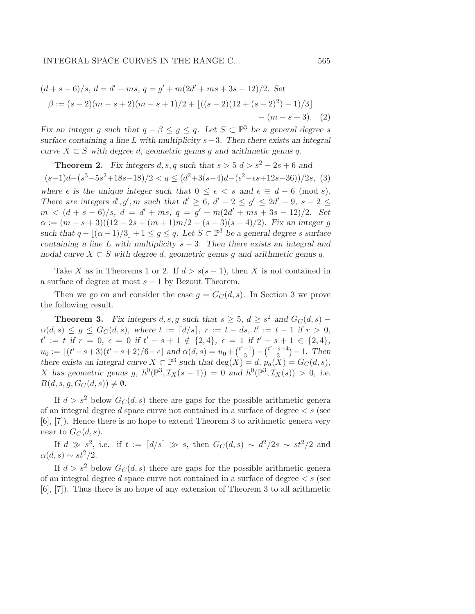$$
(d+s-6)/s, d = d' + ms, q = g' + m(2d' + ms + 3s - 12)/2. Set
$$
  

$$
\beta := (s-2)(m-s+2)(m-s+1)/2 + \lfloor ((s-2)(12 + (s-2)^2) - 1)/3 \rfloor
$$
  

$$
-(m-s+3). (2)
$$

Fix an integer g such that  $q - \beta \leq g \leq q$ . Let  $S \subset \mathbb{P}^3$  be a general degree s surface containing a line L with multiplicity  $s-3$ . Then there exists an integral curve  $X \subset S$  with degree d, geometric genus q and arithmetic genus q.

**Theorem 2.** Fix integers d, s, q such that 
$$
s > 5
$$
  $d > s^2 - 2s + 6$  and  $(s-1)d-(s^3-5s^2+18s-18)/2 < q \le (d^2+3(s-4)d-(\epsilon^2-\epsilon s+12s-36))/2s$ , (3)

where  $\epsilon$  is the unique integer such that  $0 \leq \epsilon \leq s$  and  $\epsilon \equiv d - 6 \pmod{s}$ . There are integers  $d', g', m$  such that  $d' \geq 6$ ,  $d' - 2 \leq g' \leq 2d' - 9$ ,  $s - 2 \leq$  $m < (d + s - 6)/s$ ,  $d = d' + ms$ ,  $q = g' + m(2d' + ms + 3s - 12)/2$ . Set  $\alpha := (m - s + 3)((12 - 2s + (m + 1)m/2 - (s - 3)(s - 4)/2)$ . Fix an integer g such that  $q - |(\alpha - 1)/3| + 1 \leq g \leq q$ . Let  $S \subset \mathbb{P}^3$  be a general degree s surface containing a line L with multiplicity  $s - 3$ . Then there exists an integral and nodal curve  $X \subset S$  with degree d, geometric genus g and arithmetic genus q.

Take X as in Theorems 1 or 2. If  $d > s(s-1)$ , then X is not contained in a surface of degree at most  $s - 1$  by Bezout Theorem.

Then we go on and consider the case  $q = G<sub>C</sub>(d, s)$ . In Section 3 we prove the following result.

**Theorem 3.** Fix integers  $d, s, g$  such that  $s \geq 5$ ,  $d \geq s^2$  and  $G_C(d, s)$  –  $\alpha(d,s) \leq g \leq G_C(d,s)$ , where  $t := [d/s]$ ,  $r := t - ds$ ,  $t' := t - 1$  if  $r > 0$ ,  $t' := t \text{ if } r = 0, \epsilon = 0 \text{ if } t' - s + 1 \notin \{2, 4\}, \epsilon = 1 \text{ if } t' - s + 1 \in \{2, 4\},\$  $u_0 := \lfloor (t'-s+3)(t'-s+2)/6 - \epsilon \rfloor$  and  $\alpha(d,s) = u_0 + \binom{t'-1}{3}$  $\binom{-1}{3} - \binom{t'-s+4}{3}$  $\binom{s+4}{3} - 1$ . Then there exists an integral curve  $X \subset \mathbb{P}^3$  such that  $\deg(X) = d$ ,  $p_a(X) = G_C(d, s)$ , X has geometric genus g,  $h^0(\mathbb{P}^3, \mathcal{I}_X(s-1)) = 0$  and  $h^0(\mathbb{P}^3, \mathcal{I}_X(s)) > 0$ , i.e.  $B(d, s, g, G_C(d, s)) \neq \emptyset.$ 

If  $d > s^2$  below  $G_C(d, s)$  there are gaps for the possible arithmetic genera of an integral degree d space curve not contained in a surface of degree  $\lt s$  (see [6], [7]). Hence there is no hope to extend Theorem 3 to arithmetic genera very near to  $G_C(d, s)$ .

If  $d \gg s^2$ , i.e. if  $t := \lceil d/s \rceil \gg s$ , then  $G_C(d, s) \sim d^2/2s \sim st^2/2$  and  $\alpha(d, s) \sim st^2/2$ .

If  $d > s^2$  below  $G_C(d, s)$  there are gaps for the possible arithmetic general of an integral degree d space curve not contained in a surface of degree  $\lt s$  (see [6], [7]). Thus there is no hope of any extension of Theorem 3 to all arithmetic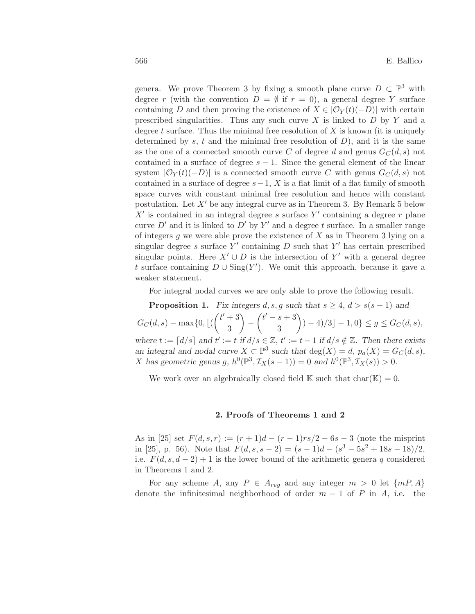genera. We prove Theorem 3 by fixing a smooth plane curve  $D \subset \mathbb{P}^3$  with degree r (with the convention  $D = \emptyset$  if  $r = 0$ ), a general degree Y surface containing D and then proving the existence of  $X \in |\mathcal{O}_Y(t)(-D)|$  with certain prescribed singularities. Thus any such curve  $X$  is linked to  $D$  by  $Y$  and a degree t surface. Thus the minimal free resolution of  $X$  is known (it is uniquely determined by s, t and the minimal free resolution of  $D$ ), and it is the same as the one of a connected smooth curve C of degree d and genus  $G_C(d, s)$  not contained in a surface of degree  $s - 1$ . Since the general element of the linear system  $|\mathcal{O}_Y(t)(-D)|$  is a connected smooth curve C with genus  $G_C(d, s)$  not contained in a surface of degree  $s-1$ , X is a flat limit of a flat family of smooth space curves with constant minimal free resolution and hence with constant postulation. Let  $X'$  be any integral curve as in Theorem 3. By Remark 5 below  $X'$  is contained in an integral degree s surface  $Y'$  containing a degree r plane curve  $D'$  and it is linked to  $D'$  by  $Y'$  and a degree t surface. In a smaller range of integers q we were able prove the existence of  $X$  as in Theorem 3 lying on a singular degree s surface Y' containing  $D$  such that Y' has certain prescribed singular points. Here  $X' \cup D$  is the intersection of  $Y'$  with a general degree t surface containing  $D \cup \text{Sing}(Y')$ . We omit this approach, because it gave a weaker statement.

For integral nodal curves we are only able to prove the following result.

**Proposition 1.** Fix integers  $d, s, g$  such that  $s \geq 4$ ,  $d > s(s-1)$  and  $G_C(d, s) - \max\{0, \lfloor ($  $(t'+3)$ 3  $\setminus$ −  $(t' - s + 3)$ 3  $\overline{ }$  $) - 4)/3 - 1, 0$ }  $\leq g \leq G_C(d, s)$ , where  $t := \lfloor d/s \rfloor$  and  $t' := t$  if  $d/s \in \mathbb{Z}$ ,  $t' := t - 1$  if  $d/s \notin \mathbb{Z}$ . Then there exists an integral and nodal curve  $X \subset \mathbb{P}^3$  such that  $deg(X) = d$ ,  $p_a(X) = G_C(d, s)$ , X has geometric genus g,  $h^0(\mathbb{P}^3, \mathcal{I}_X(s-1)) = 0$  and  $h^0(\mathbb{P}^3, \mathcal{I}_X(s)) > 0$ .

We work over an algebraically closed field  $\mathbb K$  such that  $char(\mathbb K)=0$ .

## 2. Proofs of Theorems 1 and 2

As in [25] set  $F(d, s, r) := (r + 1)d - (r - 1)rs/2 - 6s - 3$  (note the misprint in [25], p. 56). Note that  $F(d, s, s - 2) = (s - 1)d - (s^3 - 5s^2 + 18s - 18)/2$ , i.e.  $F(d, s, d-2) + 1$  is the lower bound of the arithmetic genera q considered in Theorems 1 and 2.

For any scheme A, any  $P \in A_{req}$  and any integer  $m > 0$  let  $\{mP, A\}$ denote the infinitesimal neighborhood of order  $m-1$  of P in A, i.e. the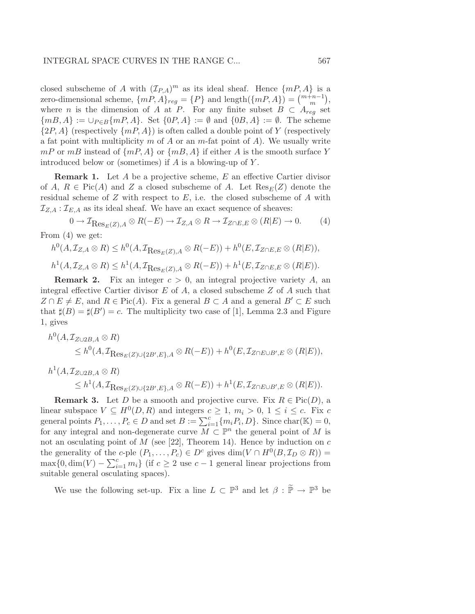closed subscheme of A with  $(\mathcal{I}_{P,A})^m$  as its ideal sheaf. Hence  $\{mP, A\}$  is a zero-dimensional scheme,  $\{mP, A\}_{reg} = \{P\}$  and  $\text{length}(\{mP, A\}) = {m+n-1 \choose m}$ , where *n* is the dimension of A at P. For any finite subset  $B \subset A_{reg}$  set  ${mB, A} := \bigcup_{P \in B} {mP, A}.$  Set  ${0P, A} := \emptyset$  and  ${0B, A} := \emptyset$ . The scheme  $\{2P, A\}$  (respectively  $\{mP, A\}$ ) is often called a double point of Y (respectively a fat point with multiplicity m of A or an m-fat point of A). We usually write  $mP$  or  $mB$  instead of  $\{mP, A\}$  or  $\{mB, A\}$  if either A is the smooth surface Y introduced below or (sometimes) if  $A$  is a blowing-up of  $Y$ .

**Remark 1.** Let A be a projective scheme, E an effective Cartier divisor of A,  $R \in Pic(A)$  and Z a closed subscheme of A. Let  $Res_E(Z)$  denote the residual scheme of  $Z$  with respect to  $E$ , i.e. the closed subscheme of  $A$  with  $\mathcal{I}_{Z,A} : \mathcal{I}_{E,A}$  as its ideal sheaf. We have an exact sequence of sheaves:

$$
0 \to \mathcal{I}_{\text{Res}_E(Z), A} \otimes R(-E) \to \mathcal{I}_{Z, A} \otimes R \to \mathcal{I}_{Z \cap E, E} \otimes (R|E) \to 0. \tag{4}
$$

From (4) we get:

$$
h^0(A, \mathcal{I}_{Z,A} \otimes R) \leq h^0(A, \mathcal{I}_{\text{Res}_E(Z), A} \otimes R(-E)) + h^0(E, \mathcal{I}_{Z \cap E, E} \otimes (R|E)),
$$
  

$$
h^1(A, \mathcal{I}_{Z,A} \otimes R) \leq h^1(A, \mathcal{I}_{\text{Res}_E(Z), A} \otimes R(-E)) + h^1(E, \mathcal{I}_{Z \cap E, E} \otimes (R|E)).
$$

**Remark 2.** Fix an integer  $c > 0$ , an integral projective variety A, an integral effective Cartier divisor  $E$  of  $A$ , a closed subscheme  $Z$  of  $A$  such that  $Z \cap E \neq E$ , and  $R \in Pic(A)$ . Fix a general  $B \subset A$  and a general  $B' \subset E$  such that  $\sharp(B) = \sharp(B') = c$ . The multiplicity two case of [1], Lemma 2.3 and Figure 1, gives

$$
h^0(A, \mathcal{I}_{Z\cup 2B,A} \otimes R)
$$
  
\n
$$
\leq h^0(A, \mathcal{I}_{\text{Res}_E(Z)\cup\{2B',E\},A} \otimes R(-E)) + h^0(E, \mathcal{I}_{Z\cap E\cup B',E} \otimes (R|E)),
$$

$$
h^1(A, \mathcal{I}_{Z\cup 2B,A} \otimes R)
$$
  
\$\leq h^1(A, \mathcal{I}\_{\text{Res}\_E(Z)\cup \{2B',E\},A} \otimes R(-E)) + h^1(E, \mathcal{I}\_{Z\cap E\cup B',E} \otimes (R|E)).\$

**Remark 3.** Let D be a smooth and projective curve. Fix  $R \in Pic(D)$ , a linear subspace  $V \subseteq H^0(D, R)$  and integers  $c \geq 1$ ,  $m_i > 0$ ,  $1 \leq i \leq c$ . Fix c general points  $P_1, \ldots, P_c \in D$  and set  $B := \sum_{i=1}^c \{m_i P_i, D\}$ . Since char $(\mathbb{K}) = 0$ , for any integral and non-degenerate curve  $\overline{M} \subset \mathbb{P}^n$  the general point of M is not an osculating point of  $M$  (see [22], Theorem 14). Hence by induction on  $c$ the generality of the c-ple  $(P_1, \ldots, P_c) \in D^c$  gives  $\dim(V \cap H^0(B, \mathcal{I}_D \otimes R)) =$  $\max\{0, \dim(V) - \sum_{i=1}^{c} m_i\}$  (if  $c \geq 2$  use  $c-1$  general linear projections from suitable general osculating spaces).

We use the following set-up. Fix a line  $L \subset \mathbb{P}^3$  and let  $\beta : \widetilde{\mathbb{P}} \to \mathbb{P}^3$  be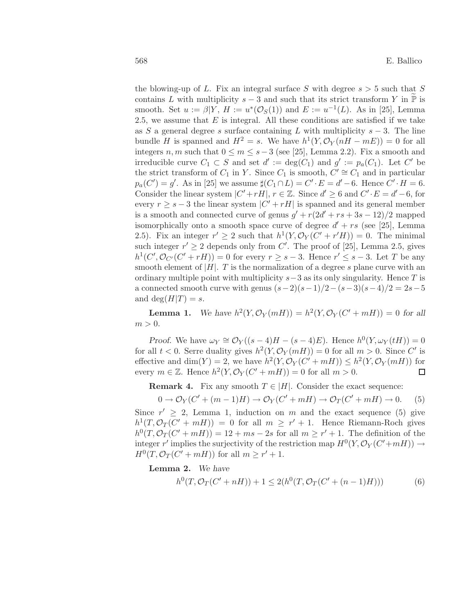the blowing-up of L. Fix an integral surface S with degree  $s > 5$  such that S contains L with multiplicity  $s - 3$  and such that its strict transform Y in  $\mathbb P$  is smooth. Set  $u := \beta | Y, H := u^*(\mathcal{O}_S(1))$  and  $E := u^{-1}(L)$ . As in [25], Lemma 2.5, we assume that  $E$  is integral. All these conditions are satisfied if we take as S a general degree s surface containing L with multiplicity  $s - 3$ . The line bundle H is spanned and  $H^2 = s$ . We have  $h^1(Y, \mathcal{O}_Y(nH - mE)) = 0$  for all integers n, m such that  $0 \le m \le s-3$  (see [25], Lemma 2.2). Fix a smooth and irreducible curve  $C_1 \subset S$  and set  $d' := \deg(C_1)$  and  $g' := p_a(C_1)$ . Let C' be the strict transform of  $C_1$  in Y. Since  $C_1$  is smooth,  $C' \cong C_1$  and in particular  $p_a(C') = g'$ . As in [25] we assume  $\sharp(C_1 \cap L) = C' \cdot E = d' - 6$ . Hence  $C' \cdot H = 6$ . Consider the linear system  $|C' + rH|, r \in \mathbb{Z}$ . Since  $d' \geq 6$  and  $C' \cdot E = d' - 6$ , for every  $r \geq s - 3$  the linear system  $|C' + rH|$  is spanned and its general member is a smooth and connected curve of genus  $g' + r(2d' + rs + 3s - 12)/2$  mapped isomorphically onto a smooth space curve of degree  $d' + rs$  (see [25], Lemma 2.5). Fix an integer  $r' \geq 2$  such that  $h^1(Y, \mathcal{O}_Y(C' + r'H)) = 0$ . The minimal such integer  $r' \geq 2$  depends only from C'. The proof of [25], Lemma 2.5, gives  $h^1(C', \mathcal{O}_{C'}(C' + rH)) = 0$  for every  $r \geq s - 3$ . Hence  $r' \leq s - 3$ . Let T be any smooth element of  $|H|$ . T is the normalization of a degree s plane curve with an ordinary multiple point with multiplicity  $s-3$  as its only singularity. Hence T is a connected smooth curve with genus  $(s-2)(s-1)/2-(s-3)(s-4)/2=2s-5$ and deg $(H|T) = s$ .

**Lemma 1.** We have  $h^2(Y, \mathcal{O}_Y(mH)) = h^2(Y, \mathcal{O}_Y(C' + mH)) = 0$  for all  $m > 0$ .

Proof. We have  $\omega_Y \cong \mathcal{O}_Y((s-4)H - (s-4)E)$ . Hence  $h^0(Y, \omega_Y(tH)) = 0$ for all  $t < 0$ . Serre duality gives  $h^2(Y, \mathcal{O}_Y(mH)) = 0$  for all  $m > 0$ . Since C' is effective and  $\dim(Y) = 2$ , we have  $h^2(Y, \mathcal{O}_Y(C' + mH)) \leq h^2(Y, \mathcal{O}_Y(mH))$  for every  $m \in \mathbb{Z}$ . Hence  $h^2(Y, \mathcal{O}_Y(C' + mH)) = 0$  for all  $m > 0$ .  $\Box$ 

**Remark 4.** Fix any smooth  $T \in |H|$ . Consider the exact sequence:

$$
0 \to \mathcal{O}_Y(C' + (m-1)H) \to \mathcal{O}_Y(C' + mH) \to \mathcal{O}_T(C' + mH) \to 0. \tag{5}
$$

Since  $r' \geq 2$ , Lemma 1, induction on m and the exact sequence (5) give  $h^1(T, \mathcal{O}_T(C' + mH)) = 0$  for all  $m \geq r' + 1$ . Hence Riemann-Roch gives  $h^0(T, \mathcal{O}_T(C' + mH)) = 12 + ms - 2s$  for all  $m \geq r' + 1$ . The definition of the integer r' implies the surjectivity of the restriction map  $H^0(Y, \mathcal{O}_Y(C' + mH)) \to$  $H^0(T, \mathcal{O}_T(C' + mH))$  for all  $m \geq r' + 1$ .

Lemma 2. We have

$$
h^{0}(T, \mathcal{O}_{T}(C' + nH)) + 1 \le 2(h^{0}(T, \mathcal{O}_{T}(C' + (n - 1)H)))
$$
\n(6)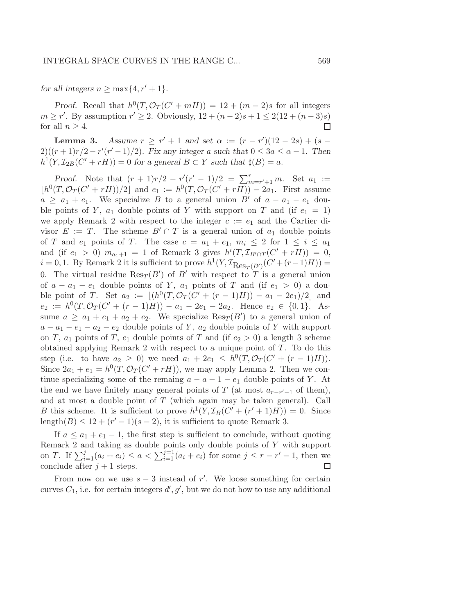for all integers  $n \geq \max\{4, r'+1\}.$ 

Proof. Recall that  $h^0(T, \mathcal{O}_T(C' + mH)) = 12 + (m-2)s$  for all integers  $m \ge r'$ . By assumption  $r' \ge 2$ . Obviously,  $12 + (n-2)s + 1 \le 2(12 + (n-3)s)$ for all  $n \geq 4$ .  $\Box$ 

**Lemma 3.** Assume  $r \ge r' + 1$  and set  $\alpha := (r - r')(12 - 2s) + (s 2)((r+1)r/2 - r'(r'-1)/2)$ . Fix any integer a such that  $0 \leq 3a \leq \alpha - 1$ . Then  $h^1(Y, \mathcal{I}_{2B}(C' + rH)) = 0$  for a general  $B \subset Y$  such that  $\sharp(B) = a$ .

Proof. Note that  $(r + 1)r/2 - r'(r' - 1)/2 = \sum_{m=r'+1}^{r} m$ . Set  $a_1 :=$  $\lfloor h^0(T, \mathcal{O}_T(C' + rH))/2 \rfloor$  and  $e_1 := h^0(T, \mathcal{O}_T(C' + rH)) - 2a_1$ . First assume  $a \ge a_1 + e_1$ . We specialize B to a general union B' of  $a - a_1 - e_1$  double points of Y,  $a_1$  double points of Y with support on T and (if  $e_1 = 1$ ) we apply Remark 2 with respect to the integer  $c := e_1$  and the Cartier divisor  $E := T$ . The scheme  $B' \cap T$  is a general union of  $a_1$  double points of T and  $e_1$  points of T. The case  $c = a_1 + e_1$ ,  $m_i \leq 2$  for  $1 \leq i \leq a_1$ and (if  $e_1 > 0$ )  $m_{a_1+1} = 1$  of Remark 3 gives  $h^{i}(T, \mathcal{I}_{B' \cap T}(C' + rH)) = 0$ ,  $i = 0, 1$ . By Remark 2 it is sufficient to prove  $h^1(Y, \mathcal{I}_{\text{Res}_T(B')}(C' + (r-1)H)) =$ 0. The virtual residue  $\text{Res}_T(B')$  of  $B'$  with respect to T is a general union of  $a - a_1 - e_1$  double points of Y,  $a_1$  points of T and (if  $e_1 > 0$ ) a double point of T. Set  $a_2 := \lfloor (h^0(T, \mathcal{O}_T(C' + (r-1)H)) - a_1 - 2e_1)/2 \rfloor$  and  $e_2 := h^0(T, \mathcal{O}_T(C' + (r-1)H)) - a_1 - 2e_1 - 2a_2$ . Hence  $e_2 \in \{0, 1\}$ . Assume  $a \ge a_1 + e_1 + a_2 + e_2$ . We specialize  $\text{Res}_T(B')$  to a general union of  $a - a_1 - e_1 - a_2 - e_2$  double points of Y,  $a_2$  double points of Y with support on T,  $a_1$  points of T,  $e_1$  double points of T and (if  $e_2 > 0$ ) a length 3 scheme obtained applying Remark 2 with respect to a unique point of T. To do this step (i.e. to have  $a_2 \ge 0$ ) we need  $a_1 + 2e_1 \le h^0(T, \mathcal{O}_T(C' + (r-1)H)).$ Since  $2a_1 + e_1 = h^0(T, \mathcal{O}_T(C' + rH))$ , we may apply Lemma 2. Then we continue specializing some of the remaing  $a - a - 1 - e_1$  double points of Y. At the end we have finitely many general points of  $T$  (at most  $a_{r-r'-1}$  of them), and at most a double point of  $T$  (which again may be taken general). Call B this scheme. It is sufficient to prove  $h^1(Y, \mathcal{I}_B(C' + (r' + 1)H)) = 0$ . Since length $(B) \leq 12 + (r'-1)(s-2)$ , it is sufficient to quote Remark 3.

If  $a \leq a_1 + e_1 - 1$ , the first step is sufficient to conclude, without quoting Remark 2 and taking as double points only double points of Y with support on *T*. If  $\sum_{i=1}^{j} (a_i + e_i) \le a < \sum_{i=1}^{j-1} (a_i + e_i)$  for some  $j \le r - r' - 1$ , then we conclude after  $j + 1$  steps. □

From now on we use  $s - 3$  instead of r'. We loose something for certain curves  $C_1$ , i.e. for certain integers  $d', g'$ , but we do not how to use any additional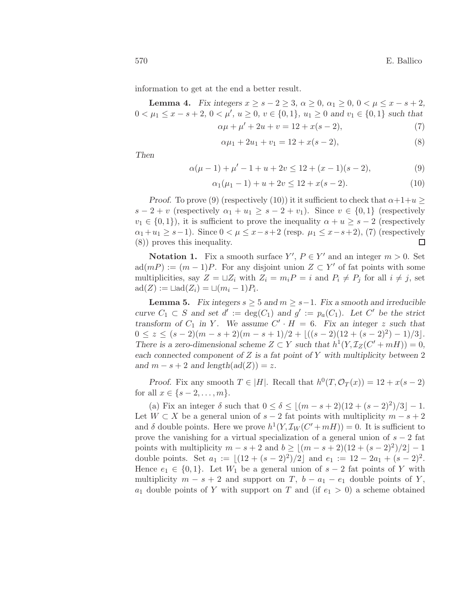information to get at the end a better result.

Lemma 4. Fix integers  $x \ge s - 2 \ge 3$ ,  $\alpha \ge 0$ ,  $\alpha_1 \ge 0$ ,  $0 \le \mu \le x - s + 2$ ,  $0 < \mu_1 \leq x - s + 2$ ,  $0 < \mu'$ ,  $u \geq 0$ ,  $v \in \{0, 1\}$ ,  $u_1 \geq 0$  and  $v_1 \in \{0, 1\}$  such that  $\alpha\mu + \mu' + 2u + v = 12 + x(s - 2),$  (7)

$$
r_{\mu} + r_{\mu} + r_{\mu} = 1 \quad \text{if} \quad (3, 4) \tag{1}
$$

$$
\alpha \mu_1 + 2u_1 + v_1 = 12 + x(s - 2),\tag{8}
$$

Then

$$
\alpha(\mu - 1) + \mu' - 1 + u + 2v \le 12 + (x - 1)(s - 2),\tag{9}
$$

$$
\alpha_1(\mu_1 - 1) + u + 2v \le 12 + x(s - 2). \tag{10}
$$

Proof. To prove (9) (respectively (10)) it it sufficient to check that  $\alpha+1+u \geq$  $s-2+v$  (respectively  $\alpha_1+u_1 \geq s-2+v_1$ ). Since  $v \in \{0,1\}$  (respectively  $v_1 \in \{0,1\}$ , it is sufficient to prove the inequality  $\alpha + u \geq s - 2$  (respectively  $\alpha_1+u_1 \geq s-1$ ). Since  $0 < \mu \leq x-s+2$  (resp.  $\mu_1 \leq x-s+2$ ), (7) (respectively (8)) proves this inequality.  $\Box$ 

**Notation 1.** Fix a smooth surface  $Y'$ ,  $P \in Y'$  and an integer  $m > 0$ . Set  $ad(mP) := (m-1)P$ . For any disjoint union  $Z \subset Y'$  of fat points with some multiplicities, say  $Z = \sqcup Z_i$  with  $Z_i = m_i P = i$  and  $P_i \neq P_j$  for all  $i \neq j$ , set  $\mathrm{ad}(Z) := \sqcup \mathrm{ad}(Z_i) = \sqcup (m_i - 1)P_i.$ 

**Lemma 5.** Fix integers  $s \geq 5$  and  $m \geq s-1$ . Fix a smooth and irreducible curve  $C_1 \subset S$  and set  $d' := \deg(C_1)$  and  $g' := p_a(C_1)$ . Let C' be the strict transform of  $C_1$  in Y. We assume  $C' \cdot H = 6$ . Fix an integer z such that  $0 \leq z \leq (s-2)(m-s+2)(m-s+1)/2 + \lfloor ((s-2)(12 + (s-2)^2) - 1)/3 \rfloor$ . There is a zero-dimensional scheme  $Z \subset Y$  such that  $h^1(Y, \mathcal{I}_Z(C' + mH)) = 0$ , each connected component of  $Z$  is a fat point of  $Y$  with multiplicity between  $2$ and  $m - s + 2$  and length(ad(Z)) = z.

Proof. Fix any smooth  $T \in |H|$ . Recall that  $h^0(T, \mathcal{O}_T(x)) = 12 + x(s-2)$ for all  $x \in \{s-2, ..., m\}.$ 

(a) Fix an integer  $\delta$  such that  $0 \le \delta \le |(m - s + 2)(12 + (s - 2)^2)/3| - 1$ . Let  $W \subset X$  be a general union of  $s - 2$  fat points with multiplicity  $m - s + 2$ and  $\delta$  double points. Here we prove  $h^1(Y, \mathcal{I}_W(C' + mH)) = 0$ . It is sufficient to prove the vanishing for a virtual specialization of a general union of  $s - 2$  fat points with multiplicity  $m - s + 2$  and  $b \geq \lfloor (m - s + 2)(12 + (s - 2)^2)/2 \rfloor - 1$ double points. Set  $a_1 := \lfloor (12 + (s-2)^2)/2 \rfloor$  and  $e_1 := 12 - 2a_1 + (s-2)^2$ . Hence  $e_1 \in \{0,1\}$ . Let  $W_1$  be a general union of  $s-2$  fat points of Y with multiplicity  $m - s + 2$  and support on T,  $b - a_1 - e_1$  double points of Y,  $a_1$  double points of Y with support on T and (if  $e_1 > 0$ ) a scheme obtained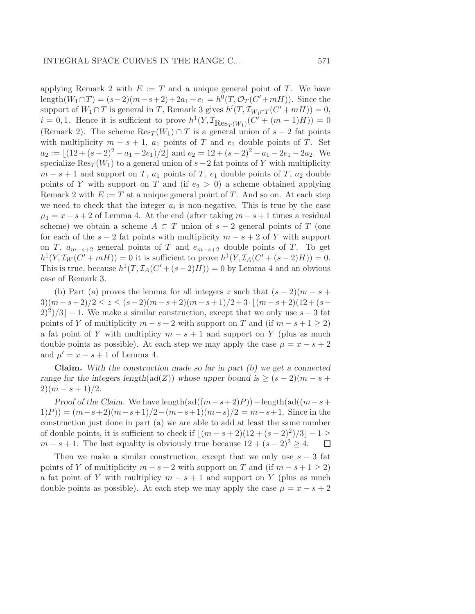applying Remark 2 with  $E := T$  and a unique general point of T. We have length $(W_1 \cap T) = (s-2)(m-s+2) + 2a_1 + e_1 = h^0(T, \mathcal{O}_T(C' + mH)).$  Since the support of  $W_1 \cap T$  is general in T, Remark 3 gives  $h^{i}(T, \mathcal{I}_{W_1 \cap T}(C' + mH)) = 0$ ,  $i = 0, 1$ . Hence it is sufficient to prove  $h^1(Y, \mathcal{I}_{\text{Res}_T(W_1)}(C' + (m-1)H)) = 0$ (Remark 2). The scheme  $\text{Res}_T(W_1) \cap T$  is a general union of  $s - 2$  fat points with multiplicity  $m - s + 1$ ,  $a_1$  points of T and  $e_1$  double points of T. Set  $a_2 := \lfloor (12 + (s-2)^2 - a_1 - 2e_1)/2 \rfloor$  and  $e_2 = 12 + (s-2)^2 - a_1 - 2e_1 - 2a_2$ . We specialize Res<sub>T</sub> (W<sub>1</sub>) to a general union of  $s-2$  fat points of Y with multiplicity  $m - s + 1$  and support on T,  $a_1$  points of T,  $e_1$  double points of T,  $a_2$  double points of Y with support on T and (if  $e_2 > 0$ ) a scheme obtained applying Remark 2 with  $E := T$  at a unique general point of T. And so on. At each step we need to check that the integer  $a_i$  is non-negative. This is true by the case  $\mu_1 = x - s + 2$  of Lemma 4. At the end (after taking  $m - s + 1$  times a residual scheme) we obtain a scheme  $A \subset T$  union of  $s - 2$  general points of T (one for each of the  $s - 2$  fat points with multiplicity  $m - s + 2$  of Y with support on T,  $a_{m-s+2}$  general points of T and  $e_{m-s+2}$  double points of T. To get  $h^1(Y, \mathcal{I}_W(C' + mH)) = 0$  it is sufficient to prove  $h^1(Y, \mathcal{I}_A(C' + (s-2)H)) = 0$ . This is true, because  $h^1(T, \mathcal{I}_A(C' + (s-2)H)) = 0$  by Lemma 4 and an obvious case of Remark 3.

(b) Part (a) proves the lemma for all integers z such that  $(s - 2)(m - s + 1)$  $3)(m-s+2)/2 \leq z \leq (s-2)(m-s+2)(m-s+1)/2+3 \cdot (m-s+2)(12+(s-s))$  $(2)^2/3$  – 1. We make a similar construction, except that we only use  $s-3$  fat points of Y of multiplicity  $m - s + 2$  with support on T and (if  $m - s + 1 \ge 2$ ) a fat point of Y with multiplicy  $m - s + 1$  and support on Y (plus as much double points as possible). At each step we may apply the case  $\mu = x - s + 2$ and  $\mu' = x - s + 1$  of Lemma 4.

Claim. With the construction made so far in part (b) we get a connected range for the integers length(ad(Z)) whose upper bound is  $\geq (s-2)(m-s+1)$  $2)(m - s + 1)/2.$ 

Proof of the Claim. We have length(ad( $(m-s+2)P$ )) – length(ad( $(m-s+$  $(1)P) = (m-s+2)(m-s+1)/2-(m-s+1)(m-s)/2 = m-s+1$ . Since in the construction just done in part (a) we are able to add at least the same number of double points, it is sufficient to check if  $\lfloor (m - s + 2)(12 + (s - 2)^2)/3 \rfloor - 1 \ge$  $m - s + 1$ . The last equality is obviously true because  $12 + (s - 2)^2 \geq 4$ .  $\Box$ 

Then we make a similar construction, except that we only use  $s - 3$  fat points of Y of multiplicity  $m - s + 2$  with support on T and (if  $m - s + 1 \geq 2$ ) a fat point of Y with multiplicy  $m - s + 1$  and support on Y (plus as much double points as possible). At each step we may apply the case  $\mu = x - s + 2$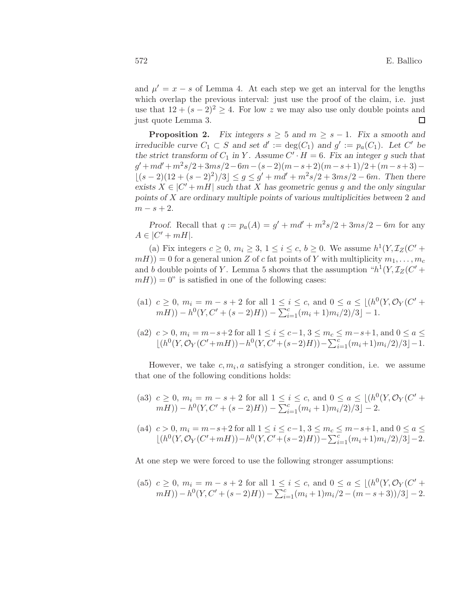and  $\mu' = x - s$  of Lemma 4. At each step we get an interval for the lengths which overlap the previous interval: just use the proof of the claim, i.e. just use that  $12 + (s - 2)^2 \geq 4$ . For low z we may also use only double points and just quote Lemma 3.  $\Box$ 

**Proposition 2.** Fix integers  $s \geq 5$  and  $m \geq s - 1$ . Fix a smooth and irreducible curve  $C_1 \subset S$  and set  $d' := \deg(C_1)$  and  $g' := p_a(C_1)$ . Let C' be the strict transform of  $C_1$  in Y. Assume  $C' \cdot H = 6$ . Fix an integer g such that  $g' + md' + m^2s/2 + 3ms/2 - 6m - (s-2)(m-s+2)(m-s+1)/2 + (m-s+3) \lfloor (s-2)(12 + (s-2)^2)/3 \rfloor \leq g \leq g' + md' + m^2s/2 + 3ms/2 - 6m$ . Then there exists  $X \in |C' + mH|$  such that X has geometric genus g and the only singular points of X are ordinary multiple points of various multiplicities between 2 and  $m - s + 2$ .

Proof. Recall that  $q := p_a(A) = g' + md' + m^2s/2 + 3ms/2 - 6m$  for any  $A \in |C' + mH|.$ 

(a) Fix integers  $c \geq 0$ ,  $m_i \geq 3$ ,  $1 \leq i \leq c$ ,  $b \geq 0$ . We assume  $h^1(Y, \mathcal{I}_Z(C' +$  $(mH)$ ) = 0 for a general union Z of c fat points of Y with multiplicity  $m_1, \ldots, m_c$ and b double points of Y. Lemma 5 shows that the assumption " $h^1(Y, \mathcal{I}_Z(C' +$  $m(H) = 0$ " is satisfied in one of the following cases:

(a1) 
$$
c \ge 0
$$
,  $m_i = m - s + 2$  for all  $1 \le i \le c$ , and  $0 \le a \le \lfloor (h^0(Y, \mathcal{O}_Y(C' + mH)) - h^0(Y, C' + (s-2)H)) - \sum_{i=1}^c (m_i + 1)m_i/2)/3 \rfloor - 1$ .

(a2) 
$$
c > 0
$$
,  $m_i = m - s + 2$  for all  $1 \le i \le c - 1$ ,  $3 \le m_c \le m - s + 1$ , and  $0 \le a \le$   
\n $\lfloor (h^0(Y, \mathcal{O}_Y(C' + mH)) - h^0(Y, C' + (s-2)H)) - \sum_{i=1}^c (m_i + 1)m_i/2)/3 \rfloor - 1$ .

However, we take  $c, m_i, a$  satisfying a stronger condition, i.e. we assume that one of the following conditions holds:

- (a3)  $c \geq 0$ ,  $m_i = m s + 2$  for all  $1 \leq i \leq c$ , and  $0 \leq a \leq \lfloor (h^0(Y, \mathcal{O}_Y(C' +$  $m(H) - h^{0}(Y, C' + (s - 2)H)) - \sum_{i=1}^{c} (m_{i} + 1) m_{i}/2)/3 - 2.$
- (a4)  $c > 0$ ,  $m_i = m s + 2$  for all  $1 \le i \le c 1$ ,  $3 \le m_c \le m s + 1$ , and  $0 \le a \le$  $\lfloor (h^0(Y, \mathcal{O}_Y(C' + mH)) - h^0(Y, C' + (s-2)H)) - \sum_{i=1}^c (m_i + 1)m_i/2)/3 \rfloor - 2.$

At one step we were forced to use the following stronger assumptions:

(a5) 
$$
c \ge 0
$$
,  $m_i = m - s + 2$  for all  $1 \le i \le c$ , and  $0 \le a \le \lfloor (h^0(Y, \mathcal{O}_Y(C' + mH)) - h^0(Y, C' + (s-2)H)) - \sum_{i=1}^c (m_i + 1)m_i/2 - (m - s + 3))/3 \rfloor - 2$ .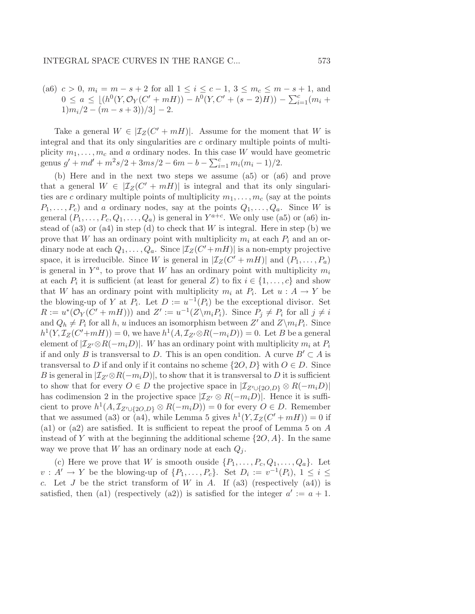(a6)  $c > 0$ ,  $m_i = m - s + 2$  for all  $1 \le i \le c - 1$ ,  $3 \le m_c \le m - s + 1$ , and  $0 \le a \le \lfloor (h^0(Y, \mathcal{O}_Y(C' + mH)) - h^0(Y, C' + (s-2)H)) - \sum_{i=1}^c (m_i +$  $1\frac{m_i}{2} - \frac{m - s + 3}{3} - 2.$ 

Take a general  $W \in |\mathcal{I}_Z(C' + mH)|$ . Assume for the moment that W is integral and that its only singularities are c ordinary multiple points of multiplicity  $m_1, \ldots, m_c$  and a ordinary nodes. In this case W would have geometric genus  $g' + md' + m^2s/2 + 3ms/2 - 6m - b - \sum_{i=1}^{c} m_i(m_i - 1)/2$ .

(b) Here and in the next two steps we assume (a5) or (a6) and prove that a general  $W \in |\mathcal{I}_Z(C' + mH)|$  is integral and that its only singularities are c ordinary multiple points of multiplicity  $m_1, \ldots, m_c$  (say at the points  $P_1, \ldots, P_c$  and a ordinary nodes, say at the points  $Q_1, \ldots, Q_a$ . Since W is general  $(P_1, \ldots, P_c, Q_1, \ldots, Q_a)$  is general in  $Y^{a+c}$ . We only use (a5) or (a6) instead of (a3) or (a4) in step (d) to check that  $W$  is integral. Here in step (b) we prove that W has an ordinary point with multiplicity  $m_i$  at each  $P_i$  and an ordinary node at each  $Q_1, \ldots, Q_a$ . Since  $|\mathcal{I}_Z(C' + mH)|$  is a non-empty projective space, it is irreducible. Since W is general in  $|\mathcal{I}_Z(C' + mH)|$  and  $(P_1, \ldots, P_a)$ is general in  $Y^a$ , to prove that W has an ordinary point with multiplicity  $m_i$ at each  $P_i$  it is sufficient (at least for general Z) to fix  $i \in \{1, \ldots, c\}$  and show that W has an ordinary point with multiplicity  $m_i$  at  $P_i$ . Let  $u : A \to Y$  be the blowing-up of Y at  $P_i$ . Let  $D := u^{-1}(P_i)$  be the exceptional divisor. Set  $R := u^*(\mathcal{O}_Y(C' + mH)))$  and  $Z' := u^{-1}(Z \setminus m_i P_i)$ . Since  $P_j \neq P_i$  for all  $j \neq i$ and  $Q_h \neq P_i$  for all h, u induces an isomorphism between Z' and  $Z\setminus m_iP_i$ . Since  $h^1(Y, \mathcal{I}_Z(C' + mH)) = 0$ , we have  $h^1(A, \mathcal{I}_{Z'} \otimes R(-m_iD)) = 0$ . Let B be a general element of  $|\mathcal{I}_{Z'} \otimes R(-m_i D)|$ . W has an ordinary point with multiplicity  $m_i$  at  $P_i$ if and only B is transversal to D. This is an open condition. A curve  $B' \subset A$  is transversal to D if and only if it contains no scheme  $\{2O, D\}$  with  $O \in D$ . Since B is general in  $|\mathcal{I}_{Z'} \otimes R(-m_iD)|$ , to show that it is transversal to D it is sufficient to show that for every  $O \in D$  the projective space in  $|\mathcal{I}_{Z' \cup \{2O, D\}} \otimes R(-m_i D)|$ has codimension 2 in the projective space  $|\mathcal{I}_{Z'} \otimes R(-m_iD)|$ . Hence it is sufficient to prove  $h^1(A, \mathcal{I}_{Z' \cup \{2O, D\}} \otimes R(-m_i D)) = 0$  for every  $O \in D$ . Remember that we assumed (a3) or (a4), while Lemma 5 gives  $h^1(Y, \mathcal{I}_Z(C' + mH)) = 0$  if (a1) or (a2) are satisfied. It is sufficient to repeat the proof of Lemma 5 on A instead of Y with at the beginning the additional scheme  $\{2O, A\}$ . In the same way we prove that W has an ordinary node at each  $Q_i$ .

(c) Here we prove that W is smooth ouside  $\{P_1, \ldots, P_c, Q_1, \ldots, Q_a\}$ . Let  $v: A' \to Y$  be the blowing-up of  $\{P_1, \ldots, P_c\}$ . Set  $D_i := v^{-1}(P_i)$ ,  $1 \le i \le$ c. Let J be the strict transform of W in A. If (a3) (respectively (a4)) is satisfied, then (a1) (respectively (a2)) is satisfied for the integer  $a' := a + 1$ .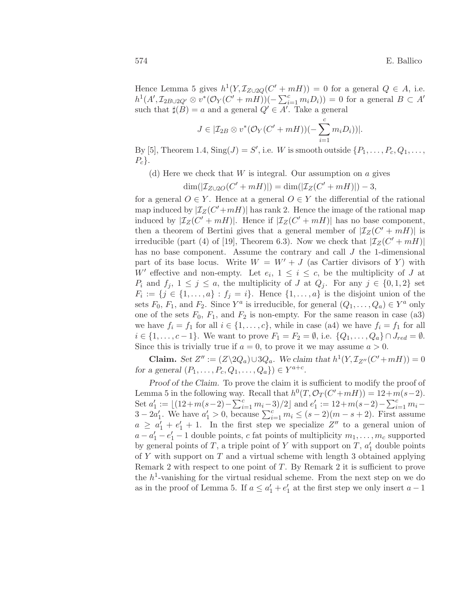Hence Lemma 5 gives  $h^1(Y, \mathcal{I}_{Z\cup 2Q}(C' + mH)) = 0$  for a general  $Q \in A$ , i.e.  $h^1(A', \mathcal{I}_{2B\cup 2Q'} \otimes v^*(\mathcal{O}_Y(C' + mH))(-\sum_{i=1}^c m_i D_i)) = 0$  for a general  $B \subset A'$ such that  $\sharp(B) = a$  and a general  $Q' \in A'$ . Take a general

$$
J\in |\mathcal{I}_{2B}\otimes v^*(\mathcal{O}_Y(C'+mH))(-\sum_{i=1}^c m_iD_i))|.
$$

By [5], Theorem 1.4,  $\text{Sing}(J) = S'$ , i.e. W is smooth outside  $\{P_1, \ldots, P_c, Q_1, \ldots, Q_c\}$  $P_c$ .

(d) Here we check that  $W$  is integral. Our assumption on  $\alpha$  gives

$$
\dim(|\mathcal{I}_{Z\cup 2O}(C'+mH)|) = \dim(|\mathcal{I}_Z(C'+mH)|) - 3,
$$

for a general  $O \in Y$ . Hence at a general  $O \in Y$  the differential of the rational map induced by  $|\mathcal{I}_Z(C'+mH)|$  has rank 2. Hence the image of the rational map induced by  $|\mathcal{I}_Z(C' + mH)|$ . Hence if  $|\mathcal{I}_Z(C' + mH)|$  has no base component, then a theorem of Bertini gives that a general member of  $|\mathcal{I}_Z(C' + mH)|$  is irreducible (part (4) of [19], Theorem 6.3). Now we check that  $|\mathcal{I}_Z(C' + mH)|$ has no base component. Assume the contrary and call J the 1-dimensional part of its base locus. Write  $W = W' + J$  (as Cartier divisors of Y) with W' effective and non-empty. Let  $e_i$ ,  $1 \leq i \leq c$ , be the multiplicity of J at  $P_i$  and  $f_j$ ,  $1 \leq j \leq a$ , the multiplicity of J at  $Q_j$ . For any  $j \in \{0,1,2\}$  set  $F_i := \{j \in \{1, \ldots, a\} : f_j = i\}.$  Hence  $\{1, \ldots, a\}$  is the disjoint union of the sets  $F_0, F_1$ , and  $F_2$ . Since  $Y^a$  is irreducible, for general  $(Q_1, \ldots, Q_a) \in Y^a$  only one of the sets  $F_0$ ,  $F_1$ , and  $F_2$  is non-empty. For the same reason in case (a3) we have  $f_i = f_1$  for all  $i \in \{1, \ldots, c\}$ , while in case (a4) we have  $f_i = f_1$  for all  $i \in \{1, ..., c-1\}$ . We want to prove  $F_1 = F_2 = \emptyset$ , i.e.  $\{Q_1, ..., Q_a\} \cap J_{red} = \emptyset$ . Since this is trivially true if  $a = 0$ , to prove it we may assume  $a > 0$ .

**Claim.** Set  $Z'' := (Z \setminus 2Q_a) \cup 3Q_a$ . We claim that  $h^1(Y, \mathcal{I}_{Z''}(C' + mH)) = 0$ for a general  $(P_1, ..., P_c, Q_1, ..., Q_a) \in Y^{a+c}$ .

Proof of the Claim. To prove the claim it is sufficient to modify the proof of Lemma 5 in the following way. Recall that  $h^0(T, \mathcal{O}_T(C' + mH)) = 12 + m(s-2)$ . Set  $a'_1 := \lfloor (12+m(s-2)-\sum_{i=1}^c m_i-3)/2 \rfloor$  and  $e'_1 := 12+m(s-2)-\sum_{i=1}^c m_i-3$  $3 - 2a'_1$ . We have  $a'_1 > 0$ , because  $\sum_{i=1}^{c} m_i \leq (s-2)(m-s+2)$ . First assume  $a \ge a'_1 + e'_1 + 1$ . In the first step we specialize  $Z''$  to a general union of  $a - a'_1 - e'_1 - 1$  double points, c fat points of multiplicity  $m_1, \ldots, m_c$  supported by general points of  $T$ , a triple point of  $Y$  with support on  $T$ ,  $a'_1$  double points of  $Y$  with support on  $T$  and a virtual scheme with length 3 obtained applying Remark 2 with respect to one point of T. By Remark 2 it is sufficient to prove the  $h^1$ -vanishing for the virtual residual scheme. From the next step on we do as in the proof of Lemma 5. If  $a \le a'_1 + e'_1$  at the first step we only insert  $a - 1$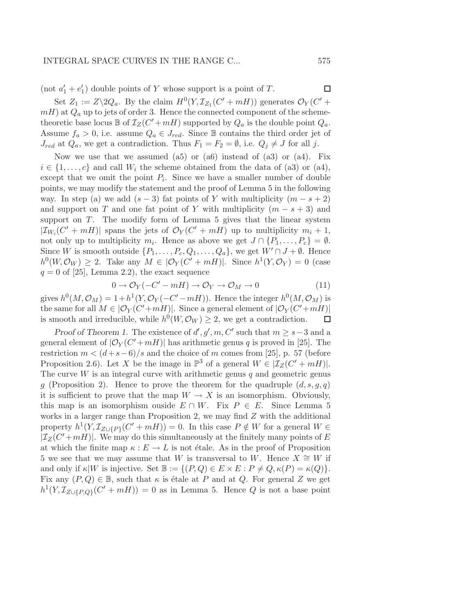(not  $a'_1 + e'_1$ ) double points of Y whose support is a point of T.

Set  $Z_1 := Z \setminus 2Q_a$ . By the claim  $H^0(Y, \mathcal{I}_{Z_1}(C' + mH))$  generates  $\mathcal{O}_Y(C' +$  $mH$ ) at  $Q_a$  up to jets of order 3. Hence the connected component of the schemetheoretic base locus  $\mathbb B$  of  $\mathcal I_Z(C' + mH)$  supported by  $Q_a$  is the double point  $Q_a$ . Assume  $f_a > 0$ , i.e. assume  $Q_a \in J_{red}$ . Since  $\mathbb B$  contains the third order jet of  $J_{red}$  at  $Q_a$ , we get a contradiction. Thus  $F_1 = F_2 = \emptyset$ , i.e.  $Q_j \neq J$  for all j.

Now we use that we assumed  $(a5)$  or  $(a6)$  instead of  $(a3)$  or  $(a4)$ . Fix  $i \in \{1, \ldots, c\}$  and call  $W_i$  the scheme obtained from the data of (a3) or (a4), except that we omit the point  $P_i$ . Since we have a smaller number of double points, we may modify the statement and the proof of Lemma 5 in the following way. In step (a) we add  $(s-3)$  fat points of Y with multiplicity  $(m - s + 2)$ and support on T and one fat point of Y with multiplicity  $(m - s + 3)$  and support on  $T$ . The modify form of Lemma 5 gives that the linear system  $|\mathcal{I}_{W_i}(C' + mH)|$  spans the jets of  $\mathcal{O}_Y(C' + mH)$  up to multiplicity  $m_i + 1$ , not only up to multiplicity  $m_i$ . Hence as above we get  $J \cap \{P_1, \ldots, P_c\} = \emptyset$ . Since W is smooth outside  $\{P_1, \ldots, P_c, Q_1, \ldots, Q_a\}$ , we get  $W' \cap J + \emptyset$ . Hence  $h^0(W, \mathcal{O}_W) \geq 2$ . Take any  $M \in |\mathcal{O}_Y(C' + mH)|$ . Since  $h^1(Y, \mathcal{O}_Y) = 0$  (case  $q = 0$  of [25], Lemma 2.2), the exact sequence

$$
0 \to \mathcal{O}_Y(-C' - mH) \to \mathcal{O}_Y \to \mathcal{O}_M \to 0
$$
\n(11)

gives  $h^0(M, \mathcal{O}_M) = 1 + h^1(Y, \mathcal{O}_Y(-C' - mH))$ . Hence the integer  $h^0(M, \mathcal{O}_M)$  is the same for all  $M \in |\mathcal{O}_Y(C' + mH)|$ . Since a general element of  $|\mathcal{O}_Y(C' + mH)|$ is smooth and irreducible, while  $h^0(W, \mathcal{O}_W) \geq 2$ , we get a contradiction.  $\Box$ 

Proof of Theorem 1. The existence of  $d', g', m, C'$  such that  $m \geq s-3$  and a general element of  $|\mathcal{O}_Y(C'+mH)|$  has arithmetic genus q is proved in [25]. The restriction  $m < (d+s-6)/s$  and the choice of m comes from [25], p. 57 (before Proposition 2.6). Let X be the image in  $\mathbb{P}^3$  of a general  $W \in [\mathcal{I}_Z(C' + mH)].$ The curve  $W$  is an integral curve with arithmetic genus  $q$  and geometric genus q (Proposition 2). Hence to prove the theorem for the quadruple  $(d, s, q, q)$ it is sufficient to prove that the map  $W \to X$  is an isomorphism. Obviously, this map is an isomorphism ouside  $E \cap W$ . Fix  $P \in E$ . Since Lemma 5 works in a larger range than Proposition 2, we may find  $Z$  with the additional property  $h^1(Y, \mathcal{I}_{Z \cup \{P\}}(C' + mH)) = 0$ . In this case  $P \notin W$  for a general  $W \in$  $|\mathcal{I}_Z(C'+mH)|$ . We may do this simultaneously at the finitely many points of E at which the finite map  $\kappa : E \to L$  is not étale. As in the proof of Proposition 5 we see that we may assume that W is transversal to W. Hence  $X \cong W$  if and only if  $\kappa|W$  is injective. Set  $\mathbb{B} := \{ (P,Q) \in E \times E : P \neq Q, \kappa(P) = \kappa(Q) \}.$ Fix any  $(P,Q) \in \mathbb{B}$ , such that  $\kappa$  is étale at P and at Q. For general Z we get  $h^1(Y, \mathcal{I}_{Z\cup\{P,Q\}}(C' + mH)) = 0$  as in Lemma 5. Hence Q is not a base point

 $\Box$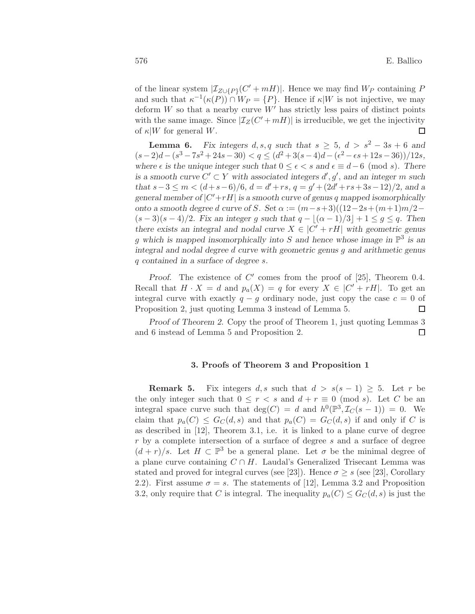of the linear system  $|\mathcal{I}_{Z\cup\{P\}}(C' + mH)|$ . Hence we may find  $W_P$  containing P and such that  $\kappa^{-1}(\kappa(P)) \cap W_P = \{P\}$ . Hence if  $\kappa|W$  is not injective, we may deform  $W$  so that a nearby curve  $W'$  has strictly less pairs of distinct points with the same image. Since  $|\mathcal{I}_Z(C' + mH)|$  is irreducible, we get the injectivity of  $\kappa|W$  for general W. □

**Lemma 6.** Fix integers d, s, q such that  $s \geq 5$ ,  $d > s^2 - 3s + 6$  and  $(s-2)d-(s^3-7s^2+24s-30) < q \leq (d^2+3(s-4)d-(\epsilon^2-\epsilon s+12s-36))/12s,$ where  $\epsilon$  is the unique integer such that  $0 \leq \epsilon < s$  and  $\epsilon \equiv d-6 \pmod{s}$ . There is a smooth curve  $C' \subset Y$  with associated integers  $d', g'$ , and an integer m such that  $s-3 \le m < (d+s-6)/6$ ,  $d = d'+rs$ ,  $q = g' + (2d'+rs+3s-12)/2$ , and a general member of  $|C' + rH|$  is a smooth curve of genus q mapped isomorphically onto a smooth degree d curve of S. Set  $\alpha := (m-s+3)((12-2s+(m+1)m/2 (s-3)(s-4)/2$ . Fix an integer g such that  $q-|(\alpha-1)/3|+1 \leq g \leq q$ . Then there exists an integral and nodal curve  $X \in |C' + rH|$  with geometric genus g which is mapped insomorphically into S and hence whose image in  $\mathbb{P}^3$  is an integral and nodal degree d curve with geometric genus g and arithmetic genus q contained in a surface of degree s.

Proof. The existence of  $C'$  comes from the proof of [25], Theorem 0.4. Recall that  $H \cdot X = d$  and  $p_a(X) = q$  for every  $X \in |C' + rH|$ . To get an integral curve with exactly  $q - g$  ordinary node, just copy the case  $c = 0$  of Proposition 2, just quoting Lemma 3 instead of Lemma 5.  $\Box$ 

Proof of Theorem 2. Copy the proof of Theorem 1, just quoting Lemmas 3  $\Box$ and 6 instead of Lemma 5 and Proposition 2.

## 3. Proofs of Theorem 3 and Proposition 1

**Remark 5.** Fix integers d, s such that  $d > s(s-1) \geq 5$ . Let r be the only integer such that  $0 \leq r < s$  and  $d + r \equiv 0 \pmod{s}$ . Let C be an integral space curve such that  $deg(C) = d$  and  $h^0(\mathbb{P}^3, \mathcal{I}_C(s-1)) = 0$ . We claim that  $p_a(C) \leq G_C(d, s)$  and that  $p_a(C) = G_C(d, s)$  if and only if C is as described in [12], Theorem 3.1, i.e. it is linked to a plane curve of degree  $r$  by a complete intersection of a surface of degree  $s$  and a surface of degree  $(d + r)/s$ . Let  $H \subset \mathbb{P}^3$  be a general plane. Let  $\sigma$  be the minimal degree of a plane curve containing  $C \cap H$ . Laudal's Generalized Trisecant Lemma was stated and proved for integral curves (see [23]). Hence  $\sigma \geq s$  (see [23], Corollary 2.2). First assume  $\sigma = s$ . The statements of [12], Lemma 3.2 and Proposition 3.2, only require that C is integral. The inequality  $p_a(C) \leq G_C(d, s)$  is just the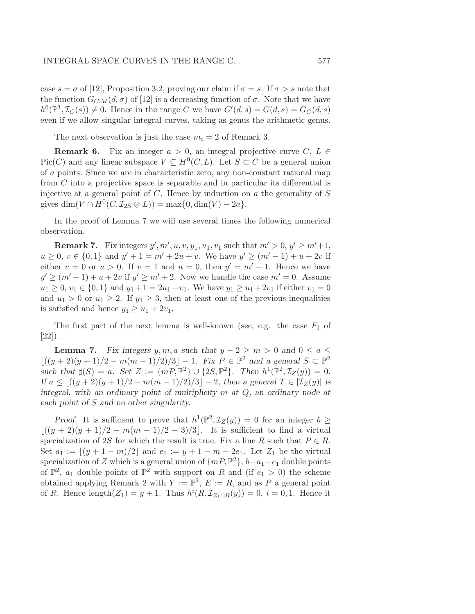case  $s = \sigma$  of [12], Proposition 3.2, proving our claim if  $\sigma = s$ . If  $\sigma > s$  note that the function  $G_{C,M}(d, \sigma)$  of [12] is a decreasing function of  $\sigma$ . Note that we have  $h^0(\mathbb{P}^3, \mathcal{I}_C(s)) \neq 0$ . Hence in the range C we have  $G'(d, s) = G(d, s) = G_C(d, s)$ even if we allow singular integral curves, taking as genus the arithmetic genus.

The next observation is just the case  $m_i = 2$  of Remark 3.

**Remark 6.** Fix an integer  $a > 0$ , an integral projective curve  $C, L \in$ Pic(C) and any linear subspace  $V \subseteq H^0(C, L)$ . Let  $S \subset C$  be a general union of a points. Since we are in characteristic zero, any non-constant rational map from C into a projective space is separable and in particular its differential is injective at a general point of  $C$ . Hence by induction on  $a$  the generality of  $S$ gives  $\dim(V \cap H^0(C, \mathcal{I}_{2S} \otimes L)) = \max\{0, \dim(V) - 2a\}.$ 

In the proof of Lemma 7 we will use several times the following numerical observation.

**Remark 7.** Fix integers  $y', m', u, v, y_1, u_1, v_1$  such that  $m' > 0, y' \ge m'+1$ ,  $u \geq 0, v \in \{0,1\}$  and  $y' + 1 = m' + 2u + v$ . We have  $y' \geq (m' - 1) + u + 2v$  if either  $v = 0$  or  $u > 0$ . If  $v = 1$  and  $u = 0$ , then  $y' = m' + 1$ . Hence we have  $y' \ge (m'-1) + u + 2v$  if  $y' \ge m' + 2$ . Now we handle the case  $m' = 0$ . Assume  $u_1 \geq 0, v_1 \in \{0, 1\}$  and  $y_1 + 1 = 2u_1 + v_1$ . We have  $y_1 \geq u_1 + 2v_1$  if either  $v_1 = 0$ and  $u_1 > 0$  or  $u_1 \geq 2$ . If  $y_1 \geq 3$ , then at least one of the previous inequalities is satisfied and hence  $y_1 \ge u_1 + 2v_1$ .

The first part of the next lemma is well-known (see, e.g. the case  $F_1$  of [22]).

**Lemma 7.** Fix integers y, m, a such that  $y - 2 \ge m > 0$  and  $0 \le a \le$  $\lfloor ((y+2)(y+1)/2 - m(m-1)/2)/3 \rfloor - 1$ . Fix  $P \in \mathbb{P}^2$  and a general  $S \subset \mathbb{P}^2$ such that  $\sharp(S) = a$ . Set  $Z := \{mP, \mathbb{P}^2\} \cup \{2S, \mathbb{P}^2\}$ . Then  $h^1(\mathbb{P}^2, \mathcal{I}_Z(y)) = 0$ . If  $a \leq \lfloor ((y+2)(y+1)/2 - m(m-1)/2)/3 \rfloor - 2$ , then a general  $T \in |\mathcal{I}_Z(y)|$  is integral, with an ordinary point of multiplicity  $m$  at  $Q$ , an ordinary node at each point of S and no other singularity.

Proof. It is sufficient to prove that  $h^1(\mathbb{P}^2, \mathcal{I}_Z(y)) = 0$  for an integer  $b \geq$  $\lfloor ((y + 2)(y + 1)/2 - m(m - 1)/2 - 3)/3 \rfloor$ . It is sufficient to find a virtual specialization of 2S for which the result is true. Fix a line R such that  $P \in R$ . Set  $a_1 := |(y + 1 - m)/2|$  and  $e_1 := y + 1 - m - 2e_1$ . Let  $Z_1$  be the virtual specialization of Z which is a general union of  $\{mP, \mathbb{P}^2\}$ ,  $b-a_1-e_1$  double points of  $\mathbb{P}^2$ ,  $a_1$  double points of  $\mathbb{P}^2$  with support on R and (if  $e_1 > 0$ ) the scheme obtained applying Remark 2 with  $Y := \mathbb{P}^2$ ,  $E := R$ , and as P a general point of R. Hence length $(Z_1) = y + 1$ . Thus  $h^{i}(R, \mathcal{I}_{Z_1 \cap R}(y)) = 0$ ,  $i = 0, 1$ . Hence it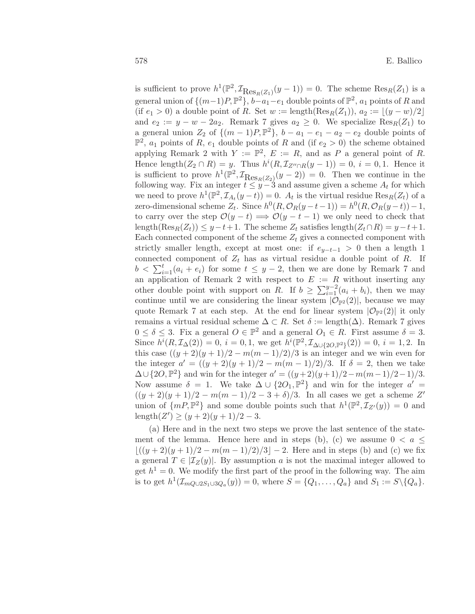is sufficient to prove  $h^1(\mathbb{P}^2, \mathcal{I}_{\text{Res}_R(Z_1)}(y-1)) = 0$ . The scheme  $\text{Res}_R(Z_1)$  is a general union of  $\{(m-1)P, \mathbb{P}^2\}, b-a_1-e_1$  double points of  $\mathbb{P}^2$ ,  $a_1$  points of R and (if  $e_1 > 0$ ) a double point of R. Set  $w := \text{length}(\text{Res}_R(Z_1)), a_2 := |(y - w)/2|$ and  $e_2 := y - w - 2a_2$ . Remark 7 gives  $a_2 \geq 0$ . We specialize  $\text{Res}_R(Z_1)$  to a general union  $Z_2$  of  $\{(m-1)P, \mathbb{P}^2\}$ ,  $b - a_1 - e_1 - a_2 - e_2$  double points of  $\mathbb{P}^2$ ,  $a_1$  points of R,  $e_1$  double points of R and (if  $e_2 > 0$ ) the scheme obtained applying Remark 2 with  $Y := \mathbb{P}^2$ ,  $E := R$ , and as P a general point of R. Hence length $(Z_2 \cap R) = y$ . Thus  $h^{i}(R, \mathcal{I}_{Z'' \cap R}(y-1)) = 0$ ,  $i = 0, 1$ . Hence it is sufficient to prove  $h^1(\mathbb{P}^2, \mathcal{I}_{\text{Res}_R(Z_2)}(y-2)) = 0$ . Then we continue in the following way. Fix an integer  $t \leq y-3$  and assume given a scheme  $A_t$  for which we need to prove  $h^1(\mathbb{P}^2, \mathcal{I}_{A_t}(y-t)) = 0$ .  $A_t$  is the virtual residue  $\text{Res}_R(Z_t)$  of a zero-dimensional scheme  $Z_t$ . Since  $h^0(R, \mathcal{O}_R(y-t-1)) = h^0(R, \mathcal{O}_R(y-t)) - 1$ , to carry over the step  $\mathcal{O}(y-t) \Longrightarrow \mathcal{O}(y-t-1)$  we only need to check that length(Res<sub>R</sub>(Z<sub>t</sub>)) ≤ y − t + 1. The scheme Z<sub>t</sub> satisfies length(Z<sub>t</sub> ∩ R) = y − t + 1. Each connected component of the scheme  $Z_t$  gives a connected component with strictly smaller length, except at most one: if  $e_{y-t-1} > 0$  then a length 1 connected component of  $Z_t$  has as virtual residue a double point of R. If  $b < \sum_{i=1}^{t} (a_i + e_i)$  for some  $t \leq y - 2$ , then we are done by Remark 7 and an application of Remark 2 with respect to  $E := R$  without inserting any other double point with support on R. If  $b \geq \sum_{i=1}^{y-2} (a_i + b_i)$ , then we may continue until we are considering the linear system  $|\mathcal{O}_{\mathbb{P}^2}(2)|$ , because we may quote Remark 7 at each step. At the end for linear system  $|\mathcal{O}_{\mathbb{P}^2}(2)|$  it only remains a virtual residual scheme  $\Delta \subset R$ . Set  $\delta := \text{length}(\Delta)$ . Remark 7 gives  $0 \leq \delta \leq 3$ . Fix a general  $O \in \mathbb{P}^2$  and a general  $O_1 \in R$ . First assume  $\delta = 3$ . Since  $h^{i}(R, \mathcal{I}_{\Delta}(2)) = 0$ ,  $i = 0, 1$ , we get  $h^{i}(\mathbb{P}^2, \mathcal{I}_{\Delta \cup \{2O, \mathbb{P}^2\}}(2)) = 0$ ,  $i = 1, 2$ . In this case  $((y+2)(y+1)/2 - m(m-1)/2)/3$  is an integer and we win even for the integer  $a' = ((y + 2)(y + 1)/2 - m(m - 1)/2)/3$ . If  $\delta = 2$ , then we take  $\Delta \cup \{2O, \mathbb{P}^2\}$  and win for the integer  $a' = ((y+2)(y+1)/2 - m(m-1)/2 - 1)/3$ . Now assume  $\delta = 1$ . We take  $\Delta \cup \{2O_1, \mathbb{P}^2\}$  and win for the integer  $a' =$  $((y+2)(y+1)/2 - m(m-1)/2 - 3 + \delta)/3$ . In all cases we get a scheme Z' union of  $\{mP, \mathbb{P}^2\}$  and some double points such that  $h^1(\mathbb{P}^2, \mathcal{I}_{Z'}(y)) = 0$  and length $(Z') \ge (y+2)(y+1)/2 - 3.$ 

(a) Here and in the next two steps we prove the last sentence of the statement of the lemma. Hence here and in steps (b), (c) we assume  $0 < a \leq$  $|(y+2)(y+1)/2 - m(m-1)/2)/3| - 2$ . Here and in steps (b) and (c) we fix a general  $T \in |\mathcal{I}_Z(y)|$ . By assumption a is not the maximal integer allowed to get  $h^1 = 0$ . We modify the first part of the proof in the following way. The aim is to get  $h^1(\mathcal{I}_{mq\cup 2S_1\cup 3Q_a}(y)) = 0$ , where  $S = \{Q_1, \ldots, Q_a\}$  and  $S_1 := S \setminus \{Q_a\}.$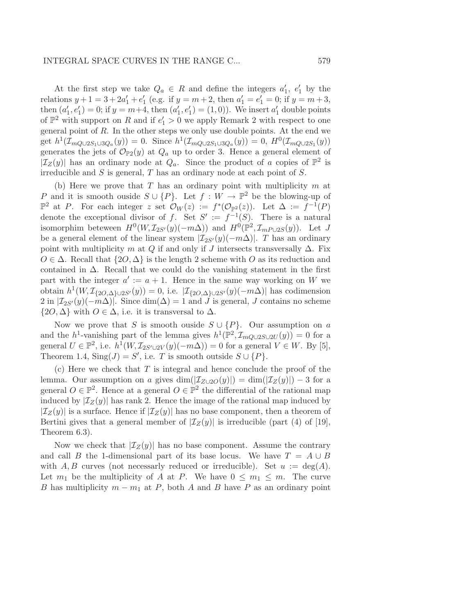At the first step we take  $Q_a \in R$  and define the integers  $a'_1, e'_1$  by the relations  $y + 1 = 3 + 2a'_1 + e'_1$  (e.g. if  $y = m + 2$ , then  $a'_1 = e'_1 = 0$ ; if  $y = m + 3$ , then  $(a'_1, e'_1) = 0$ ; if  $y = m+4$ , then  $(a'_1, e'_1) = (1, 0)$ ). We insert  $a'_1$  double points of  $\mathbb{P}^2$  with support on R and if  $e'_1 > 0$  we apply Remark 2 with respect to one general point of  $R$ . In the other steps we only use double points. At the end we get  $h^1(\mathcal{I}_{mQ\cup 2S_1\cup 3Q_a}(y)) = 0$ . Since  $h^1(\mathcal{I}_{mQ\cup 2S_1\cup 3Q_a}(y)) = 0$ ,  $H^0(\mathcal{I}_{mQ\cup 2S_1}(y))$ generates the jets of  $\mathcal{O}_{\mathbb{P}2}(y)$  at  $Q_a$  up to order 3. Hence a general element of  $|\mathcal{I}_Z(y)|$  has an ordinary node at  $Q_a$ . Since the product of a copies of  $\mathbb{P}^2$  is irreducible and  $S$  is general,  $T$  has an ordinary node at each point of  $S$ .

(b) Here we prove that  $T$  has an ordinary point with multiplicity  $m$  at P and it is smooth ouside  $S \cup \{P\}$ . Let  $f : W \to \mathbb{P}^2$  be the blowing-up of  $\mathbb{P}^2$  at P. For each integer z set  $\mathcal{O}_W(z) := f^*(\mathcal{O}_{\mathbb{P}^2}(z))$ . Let  $\Delta := f^{-1}(P)$ denote the exceptional divisor of f. Set  $S' := f^{-1}(S)$ . There is a natural isomorphim beteween  $H^0(W, \mathcal{I}_{2S'}(y)(-m\Delta))$  and  $H^0(\mathbb{P}^2, \mathcal{I}_{mP\cup 2S}(y))$ . Let J be a general element of the linear system  $|\mathcal{I}_{2S'}(y)(-m\Delta)|$ . T has an ordinary point with multiplicity m at Q if and only if J intersects transversally  $\Delta$ . Fix  $O \in \Delta$ . Recall that  $\{2O, \Delta\}$  is the length 2 scheme with O as its reduction and contained in  $\Delta$ . Recall that we could do the vanishing statement in the first part with the integer  $a' := a + 1$ . Hence in the same way working on W we obtain  $h^1(W, \mathcal{I}_{\{2O,\Delta\}\cup 2S'}(y)) = 0$ , i.e.  $|\mathcal{I}_{\{2O,\Delta\}\cup 2S'}(y)(-m\Delta)|$  has codimension 2 in  $\left|\mathcal{I}_{2S'}(y)(-m\Delta)\right|$ . Since  $\dim(\Delta) = 1$  and J is general, J contains no scheme  $\{2O, \Delta\}$  with  $O \in \Delta$ , i.e. it is transversal to  $\Delta$ .

Now we prove that S is smooth ouside  $S \cup \{P\}$ . Our assumption on a and the h<sup>1</sup>-vanishing part of the lemma gives  $h^1(\mathbb{P}^2, \mathcal{I}_{mQ\cup 2S\cup 2U}(y)) = 0$  for a general  $U \in \mathbb{P}^2$ , i.e.  $h^1(W, \mathcal{I}_{2S' \cup 2V}(y)(-m\Delta)) = 0$  for a general  $V \in W$ . By [5], Theorem 1.4,  $\text{Sing}(J) = S'$ , i.e. T is smooth outside  $S \cup \{P\}$ .

 $(c)$  Here we check that T is integral and hence conclude the proof of the lemma. Our assumption on a gives  $\dim(|\mathcal{I}_{Z\cup 2O}(y)|) = \dim(|\mathcal{I}_{Z}(y)|) - 3$  for a general  $O \in \mathbb{P}^2$ . Hence at a general  $O \in \mathbb{P}^2$  the differential of the rational map induced by  $|\mathcal{I}_Z(y)|$  has rank 2. Hence the image of the rational map induced by  $|\mathcal{I}_Z(y)|$  is a surface. Hence if  $|\mathcal{I}_Z(y)|$  has no base component, then a theorem of Bertini gives that a general member of  $|\mathcal{I}_Z(y)|$  is irreducible (part (4) of [19], Theorem 6.3).

Now we check that  $|\mathcal{I}_Z(y)|$  has no base component. Assume the contrary and call B the 1-dimensional part of its base locus. We have  $T = A \cup B$ with A, B curves (not necessarly reduced or irreducible). Set  $u := \deg(A)$ . Let  $m_1$  be the multiplicity of A at P. We have  $0 \leq m_1 \leq m$ . The curve B has multiplicity  $m - m_1$  at P, both A and B have P as an ordinary point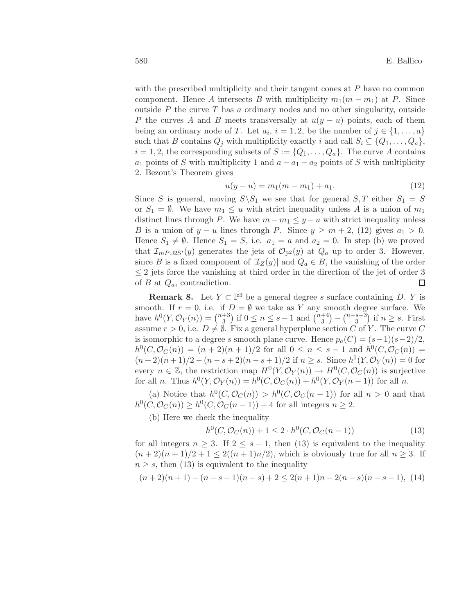with the prescribed multiplicity and their tangent cones at  $P$  have no common component. Hence A intersects B with multiplicity  $m_1(m - m_1)$  at P. Since outside  $P$  the curve  $T$  has a ordinary nodes and no other singularity, outside P the curves A and B meets transversally at  $u(y - u)$  points, each of them being an ordinary node of T. Let  $a_i$ ,  $i = 1, 2$ , be the number of  $j \in \{1, ..., a\}$ such that B contains  $Q_i$  with multiplicity exactly i and call  $S_i \subseteq \{Q_1, \ldots, Q_a\}$ ,  $i = 1, 2$ , the corresponding subsets of  $S := \{Q_1, \ldots, Q_a\}$ . The curve A contains  $a_1$  points of S with multiplicity 1 and  $a - a_1 - a_2$  points of S with multiplicity 2. Bezout's Theorem gives

$$
u(y - u) = m_1(m - m_1) + a_1.
$$
\n(12)

Since S is general, moving  $S \ S_1$  we see that for general  $S, T$  either  $S_1 = S$ or  $S_1 = \emptyset$ . We have  $m_1 \leq u$  with strict inequality unless A is a union of  $m_1$ distinct lines through P. We have  $m - m_1 \leq y - u$  with strict inequality unless B is a union of  $y - u$  lines through P. Since  $y \ge m + 2$ , (12) gives  $a_1 > 0$ . Hence  $S_1 \neq \emptyset$ . Hence  $S_1 = S$ , i.e.  $a_1 = a$  and  $a_2 = 0$ . In step (b) we proved that  $\mathcal{I}_{mP\cup 2S'}(y)$  generates the jets of  $\mathcal{O}_{\mathbb{P}^2}(y)$  at  $Q_a$  up to order 3. However, since B is a fixed component of  $|\mathcal{I}_Z(y)|$  and  $Q_a \in B$ , the vanishing of the order  $\leq 2$  jets force the vanishing at third order in the direction of the jet of order 3 of  $B$  at  $Q_a$ , contradiction.  $\Box$ 

**Remark 8.** Let  $Y \subset \mathbb{P}^3$  be a general degree s surface containing D. Y is smooth. If  $r = 0$ , i.e. if  $D = \emptyset$  we take as Y any smooth degree surface. We have  $h^0(Y, \mathcal{O}_Y(n)) = \binom{n+3}{3}$  $\binom{+3}{3}$  if  $0 \le n \le s-1$  and  $\binom{n+4}{3}$  $\binom{+4}{3} - \binom{n-s+3}{3}$  $\binom{s+3}{3}$  if  $n \geq s$ . First assume  $r > 0$ , i.e.  $D \neq \emptyset$ . Fix a general hyperplane section C of Y. The curve C is isomorphic to a degree s smooth plane curve. Hence  $p_a(C) = (s-1)(s-2)/2$ ,  $h^0(C, \mathcal{O}_C(n)) = (n+2)(n+1)/2$  for all  $0 \le n \le s-1$  and  $h^0(C, \mathcal{O}_C(n)) =$  $(n+2)(n+1)/2 - (n-s+2)(n-s+1)/2$  if  $n \geq s$ . Since  $h^1(Y, \mathcal{O}_Y(n)) = 0$  for every  $n \in \mathbb{Z}$ , the restriction map  $H^0(Y, \mathcal{O}_Y(n)) \to H^0(C, \mathcal{O}_C(n))$  is surjective for all *n*. Thus  $h^0(Y, \mathcal{O}_Y(n)) = h^0(C, \mathcal{O}_C(n)) + h^0(Y, \mathcal{O}_Y(n-1))$  for all *n*.

(a) Notice that  $h^0(C, \mathcal{O}_C(n)) > h^0(C, \mathcal{O}_C(n-1))$  for all  $n > 0$  and that  $h^0(C, \mathcal{O}_C(n)) \geq h^0(C, \mathcal{O}_C(n-1)) + 4$  for all integers  $n \geq 2$ .

(b) Here we check the inequality

$$
h^{0}(C, \mathcal{O}_{C}(n)) + 1 \le 2 \cdot h^{0}(C, \mathcal{O}_{C}(n-1))
$$
\n(13)

for all integers  $n \geq 3$ . If  $2 \leq s-1$ , then (13) is equivalent to the inequality  $(n+2)(n+1)/2+1 \leq 2((n+1)n/2)$ , which is obviously true for all  $n \geq 3$ . If  $n \geq s$ , then (13) is equivalent to the inequality

$$
(n+2)(n+1) - (n-s+1)(n-s) + 2 \le 2(n+1)n - 2(n-s)(n-s-1),
$$
 (14)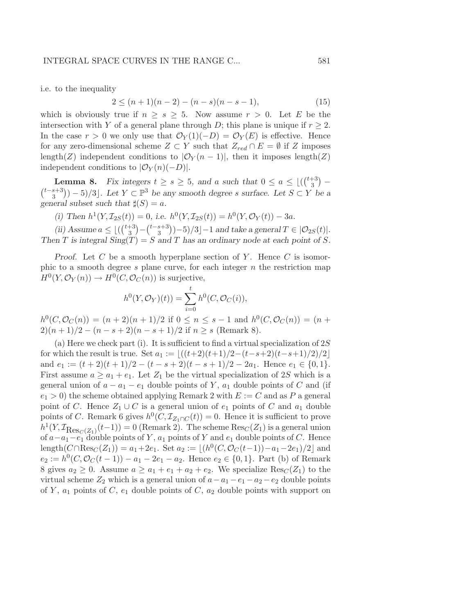i.e. to the inequality

$$
2 \le (n+1)(n-2) - (n-s)(n-s-1), \tag{15}
$$

which is obviously true if  $n \geq s \geq 5$ . Now assume  $r > 0$ . Let E be the intersection with Y of a general plane through D; this plane is unique if  $r \geq 2$ . In the case  $r > 0$  we only use that  $\mathcal{O}_Y(1)(-D) = \mathcal{O}_Y(E)$  is effective. Hence for any zero-dimensional scheme  $Z \subset Y$  such that  $Z_{red} \cap E = \emptyset$  if Z imposes length(Z) independent conditions to  $|\mathcal{O}_Y(n-1)|$ , then it imposes length(Z) independent conditions to  $|\mathcal{O}_Y(n)(-D)|$ .

**Lemma 8.** Fix integers  $t \geq s \geq 5$ , and a such that  $0 \leq a \leq \lfloor \binom{t+3}{3} \rfloor$  $\binom{+3}{3}$  - $\binom{t-s+3}{s}$  $\binom{s+3}{3}$  $-5/3$ . Let  $Y \subset \mathbb{P}^3$  be any smooth degree s surface. Let  $S \subset Y$  be a general subset such that  $\sharp(S) = a$ .

(i) Then  $h^1(Y, \mathcal{I}_{2S}(t)) = 0$ , i.e.  $h^0(Y, \mathcal{I}_{2S}(t)) = h^0(Y, \mathcal{O}_Y(t)) - 3a$ .

(ii) Assume  $a \leq \lfloor \left(\binom{t+3}{3}\right)$  $\binom{+3}{3} - \binom{t-s+3}{3}$  $\binom{s+3}{3}$ )-5)/3]-1 and take a general  $T \in |O_{2S}(t)|$ . Then T is integral  $\text{Sing}(T) = S$  and T has an ordinary node at each point of S.

Proof. Let C be a smooth hyperplane section of Y. Hence C is isomorphic to a smooth degree  $s$  plane curve, for each integer  $n$  the restriction map  $H^0(Y, \mathcal{O}_Y(n)) \to H^0(C, \mathcal{O}_C(n))$  is surjective,

$$
h^{0}(Y, \mathcal{O}_{Y})(t)) = \sum_{i=0}^{t} h^{0}(C, \mathcal{O}_{C}(i)),
$$

 $h^0(C, \mathcal{O}_C(n)) = (n+2)(n+1)/2$  if  $0 \le n \le s-1$  and  $h^0(C, \mathcal{O}_C(n)) = (n+1)/2$  $2(n+1)/2 - (n-s+2)(n-s+1)/2$  if  $n \geq s$  (Remark 8).

(a) Here we check part (i). It is sufficient to find a virtual specialization of  $2S$ for which the result is true. Set  $a_1 := \lfloor ((t+2)(t+1)/2-(t-s+2)(t-s+1)/2)/2 \rfloor$ and  $e_1 := (t+2)(t+1)/2 - (t-s+2)(t-s+1)/2 - 2a_1$ . Hence  $e_1 \in \{0,1\}$ . First assume  $a \ge a_1 + e_1$ . Let  $Z_1$  be the virtual specialization of 2S which is a general union of  $a - a_1 - e_1$  double points of Y,  $a_1$  double points of C and (if  $e_1 > 0$ ) the scheme obtained applying Remark 2 with  $E := C$  and as P a general point of C. Hence  $Z_1 \cup C$  is a general union of  $e_1$  points of C and  $a_1$  double points of C. Remark 6 gives  $h^0(C, \mathcal{I}_{Z_1 \cap C}(t)) = 0$ . Hence it is sufficient to prove  $h^1(Y, \mathcal{I}_{\text{Res}_C(Z_1)}(t-1)) = 0$  (Remark 2). The scheme  $\text{Res}_C(Z_1)$  is a general union of  $a-a_1-e_1$  double points of Y,  $a_1$  points of Y and  $e_1$  double points of C. Hence length( $C \cap \text{Res}_C(Z_1)$ ) =  $a_1 + 2e_1$ . Set  $a_2 := \lfloor (h^0(C, \mathcal{O}_C(t-1)) - a_1 - 2e_1)/2 \rfloor$  and  $e_2 := h^0(C, \mathcal{O}_C(t-1)) - a_1 - 2e_1 - a_2$ . Hence  $e_2 \in \{0, 1\}$ . Part (b) of Remark 8 gives  $a_2 \geq 0$ . Assume  $a \geq a_1 + e_1 + a_2 + e_2$ . We specialize  $\text{Res}_C(Z_1)$  to the virtual scheme  $Z_2$  which is a general union of  $a - a_1 - e_1 - a_2 - e_2$  double points of Y,  $a_1$  points of C,  $e_1$  double points of C,  $a_2$  double points with support on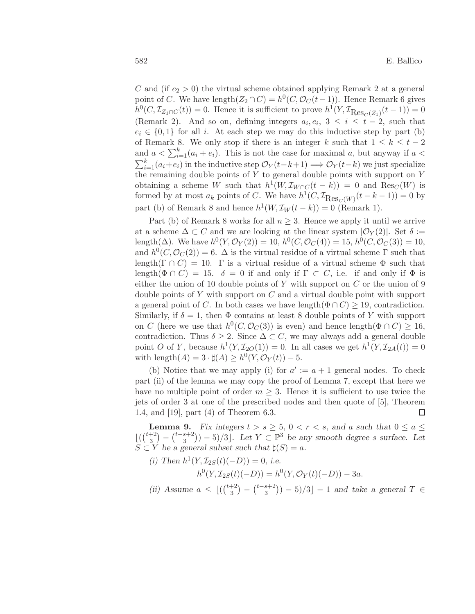C and (if  $e_2 > 0$ ) the virtual scheme obtained applying Remark 2 at a general point of C. We have  $\text{length}(Z_2 \cap C) = h^0(C, \mathcal{O}_C(t-1))$ . Hence Remark 6 gives  $h^0(C, \mathcal{I}_{Z_1 \cap C}(t)) = 0$ . Hence it is sufficient to prove  $h^1(Y, \mathcal{I}_{\text{Res}_C(Z_1)}(t-1)) = 0$ (Remark 2). And so on, defining integers  $a_i, e_i, 3 \leq i \leq t-2$ , such that  $e_i \in \{0,1\}$  for all i. At each step we may do this inductive step by part (b) of Remark 8. We only stop if there is an integer k such that  $1 \leq k \leq t-2$ and  $a < \sum_{i=1}^{k} (a_i + e_i)$ . This is not the case for maximal a, but anyway if  $a <$  $\sum_{i=1}^{k} (a_i + e_i)$  in the inductive step  $\mathcal{O}_Y(t-k+1) \Longrightarrow \mathcal{O}_Y(t-k)$  we just specialize the remaining double points of Y to general double points with support on Y obtaining a scheme W such that  $h^1(W, \mathcal{I}_{W\cap C}(t-k)) = 0$  and  $\text{Res}_C(W)$  is formed by at most  $a_k$  points of C. We have  $h^1(C, \mathcal{I}_{\text{Res}_C(W)}(t-k-1)) = 0$  by part (b) of Remark 8 and hence  $h^1(W, \mathcal{I}_W(t-k)) = 0$  (Remark 1).

Part (b) of Remark 8 works for all  $n \geq 3$ . Hence we apply it until we arrive at a scheme  $\Delta \subset C$  and we are looking at the linear system  $|\mathcal{O}_Y(2)|$ . Set  $\delta :=$ length( $\Delta$ ). We have  $h^0(Y, \mathcal{O}_Y(2)) = 10$ ,  $h^0(C, \mathcal{O}_C(4)) = 15$ ,  $h^0(C, \mathcal{O}_C(3)) = 10$ , and  $h^0(C, \mathcal{O}_C(2)) = 6$ .  $\Delta$  is the virtual residue of a virtual scheme  $\Gamma$  such that length( $\Gamma \cap C$ ) = 10.  $\Gamma$  is a virtual residue of a virtual scheme  $\Phi$  such that length( $\Phi \cap C$ ) = 15.  $\delta = 0$  if and only if  $\Gamma \subset C$ , i.e. if and only if  $\Phi$  is either the union of 10 double points of Y with support on  $C$  or the union of 9 double points of Y with support on  $C$  and a virtual double point with support a general point of C. In both cases we have length( $\Phi \cap C$ )  $\geq$  19, contradiction. Similarly, if  $\delta = 1$ , then  $\Phi$  contains at least 8 double points of Y with support on C (here we use that  $h^0(C, \mathcal{O}_C(3))$  is even) and hence length( $\Phi \cap C$ )  $\geq 16$ , contradiction. Thus  $\delta \geq 2$ . Since  $\Delta \subset C$ , we may always add a general double point O of Y, because  $h^1(Y, \mathcal{I}_{2O}(1)) = 0$ . In all cases we get  $h^1(Y, \mathcal{I}_{2A}(t)) = 0$ with length $(A) = 3 \cdot \sharp(A) \geq h^0(Y, \mathcal{O}_Y(t)) - 5.$ 

(b) Notice that we may apply (i) for  $a' := a + 1$  general nodes. To check part (ii) of the lemma we may copy the proof of Lemma 7, except that here we have no multiple point of order  $m \geq 3$ . Hence it is sufficient to use twice the jets of order 3 at one of the prescribed nodes and then quote of [5], Theorem 1.4, and [19], part (4) of Theorem 6.3.  $\Box$ 

**Lemma 9.** Fix integers  $t > s \geq 5$ ,  $0 < r < s$ , and a such that  $0 \leq a \leq s$  $\lfloor (1 + 2) \choose 3 \rfloor$  $\binom{+2}{3} - \binom{t-s+2}{3}$  $\binom{s+2}{3}$  – 5)/3<sup> $\lfloor$ </sup>. Let  $Y \subset \mathbb{P}^3$  be any smooth degree s surface. Let  $S \subset Y$  be a general subset such that  $\sharp(S) = a$ .

(i) Then  $h^1(Y, \mathcal{I}_{2S}(t)(-D)) = 0$ , i.e.

 $h^0(Y, \mathcal{I}_{2S}(t)(-D)) = h^0(Y, \mathcal{O}_Y(t)(-D)) - 3a.$ 

(ii) Assume  $a \leq |(\binom{t+2}{3})|$  $\binom{+2}{3} - \binom{t-s+2}{3}$  $\binom{s+2}{3}$ ) – 5)/3] – 1 and take a general  $T \in$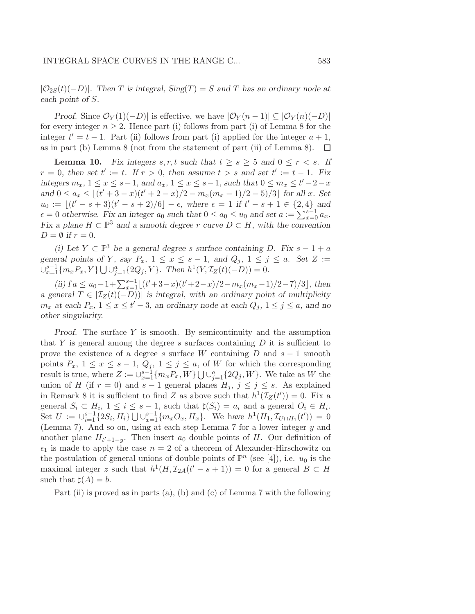$|\mathcal{O}_{2S}(t)(-D)|$ . Then T is integral,  $Sing(T) = S$  and T has an ordinary node at each point of S.

Proof. Since  $\mathcal{O}_Y(1)(-D)$  is effective, we have  $|\mathcal{O}_Y(n-1)| \subseteq |\mathcal{O}_Y(n)(-D)|$ for every integer  $n \geq 2$ . Hence part (i) follows from part (i) of Lemma 8 for the integer  $t' = t - 1$ . Part (ii) follows from part (i) applied for the integer  $a + 1$ , as in part (b) Lemma 8 (not from the statement of part (ii) of Lemma 8).  $\Box$ 

**Lemma 10.** Fix integers  $s, r, t$  such that  $t \geq s \geq 5$  and  $0 \leq r < s$ . If  $r = 0$ , then set  $t' := t$ . If  $r > 0$ , then assume  $t > s$  and set  $t' := t - 1$ . Fix integers  $m_x$ ,  $1 \le x \le s-1$ , and  $a_x$ ,  $1 \le x \le s-1$ , such that  $0 \le m_x \le t'-2-x$ and  $0 \le a_x \le \lfloor (t'+3-x)(t'+2-x)/2 - m_x(m_x-1)/2 - 5)/3 \rfloor$  for all x. Set  $u_0 := \lfloor (t'-s+3)(t'-s+2)/6 \rfloor - \epsilon$ , where  $\epsilon = 1$  if  $t'-s+1 \in \{2,4\}$  and  $\epsilon = 0$  otherwise. Fix an integer  $a_0$  such that  $0 \le a_0 \le u_0$  and set  $a := \sum_{x=0}^{s-1} a_x$ . Fix a plane  $H \subset \mathbb{P}^3$  and a smooth degree r curve  $D \subset H$ , with the convention  $D = \emptyset$  if  $r = 0$ .

(i) Let  $Y \subset \mathbb{P}^3$  be a general degree s surface containing D. Fix  $s - 1 + a$ general points of Y, say  $P_x$ ,  $1 \le x \le s-1$ , and  $Q_i$ ,  $1 \le j \le a$ . Set  $Z :=$  $\bigcup_{x=1}^{s-1} \{m_x P_x, Y\} \bigcup \bigcup_{j=1}^{a} \{2Q_j, Y\}.$  Then  $h^1(Y, \mathcal{I}_Z(t)(-D)) = 0.$ 

(ii)  $fa \leq u_0 - 1 + \sum_{x=1}^{s-1} \lfloor (t'+3-x)(t'+2-x)/2 - m_x(m_x-1)/2 - 7)/3 \rfloor$ , then a general  $T \in |\mathcal{I}_Z(t)(-D)|$  is integral, with an ordinary point of multiplicity  $m_x$  at each  $P_x$ ,  $1 \le x \le t' - 3$ , an ordinary node at each  $Q_j$ ,  $1 \le j \le a$ , and no other singularity.

*Proof.* The surface  $Y$  is smooth. By semicontinuity and the assumption that Y is general among the degree s surfaces containing  $D$  it is sufficient to prove the existence of a degree s surface W containing D and  $s - 1$  smooth points  $P_x$ ,  $1 \le x \le s - 1$ ,  $Q_j$ ,  $1 \le j \le a$ , of W for which the corresponding result is true, where  $Z := \bigcup_{x=1}^{s-1} \{m_x P_x, W\} \bigcup \bigcup_{j=1}^{a} \{2Q_j, W\}$ . We take as W the union of H (if  $r = 0$ ) and  $s - 1$  general planes  $H_j$ ,  $j \leq j \leq s$ . As explained in Remark 8 it is sufficient to find Z as above such that  $h^1(\mathcal{I}_Z(t'))=0$ . Fix a general  $S_i \subset H_i$ ,  $1 \leq i \leq s-1$ , such that  $\sharp(S_i) = a_i$  and a general  $O_i \in H_i$ . Set  $U := \bigcup_{i=1}^{s-1} \{2S_i, H_i\} \bigcup \bigcup_{x=1}^{s-1} \{m_x O_x, H_x\}.$  We have  $h^1(H_1, \mathcal{I}_{U \cap H_1}(t')) = 0$ (Lemma 7). And so on, using at each step Lemma 7 for a lower integer y and another plane  $H_{t'+1-y}$ . Then insert  $a_0$  double points of H. Our definition of  $\epsilon_1$  is made to apply the case  $n = 2$  of a theorem of Alexander-Hirschowitz on the postulation of general unions of double points of  $\mathbb{P}^n$  (see [4]), i.e.  $u_0$  is the maximal integer z such that  $h^1(H, \mathcal{I}_{2A}(t'-s+1)) = 0$  for a general  $B \subset H$ such that  $\sharp(A) = b$ .

Part (ii) is proved as in parts (a), (b) and (c) of Lemma 7 with the following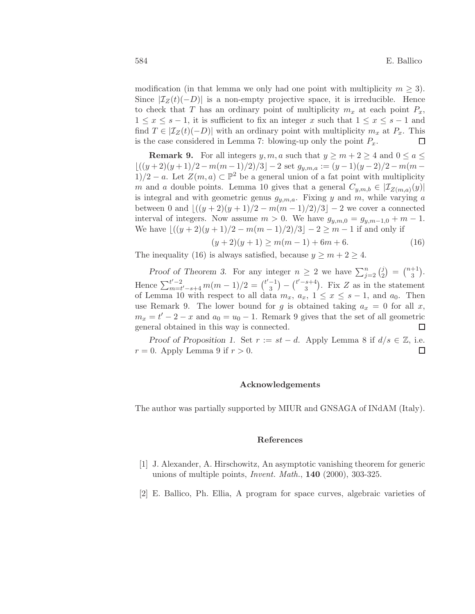modification (in that lemma we only had one point with multiplicity  $m \geq 3$ ). Since  $\mathcal{I}_Z(t)(-D)$  is a non-empty projective space, it is irreducible. Hence to check that T has an ordinary point of multiplicity  $m_x$  at each point  $P_x$ ,  $1 \leq x \leq s-1$ , it is sufficient to fix an integer x such that  $1 \leq x \leq s-1$  and find  $T \in |\mathcal{I}_Z(t)(-D)|$  with an ordinary point with multiplicity  $m_x$  at  $P_x$ . This is the case considered in Lemma 7: blowing-up only the point  $P_x$ .  $\Box$ 

**Remark 9.** For all integers  $y, m, a$  such that  $y \ge m + 2 \ge 4$  and  $0 \le a \le$  $\lfloor ((y+2)(y+1)/2 - m(m-1)/2)/3 \rfloor - 2$  set  $g_{y,m,a} := (y-1)(y-2)/2 - m(m-1)/2$ 1)/2 − a. Let  $Z(m, a) \subset \mathbb{P}^2$  be a general union of a fat point with multiplicity m and a double points. Lemma 10 gives that a general  $C_{y,m,b} \in |\mathcal{I}_{Z(m,a)}(y)|$ is integral and with geometric genus  $g_{y,m,a}$ . Fixing y and m, while varying a between 0 and  $|(y+2)(y+1)/2 - m(m-1)/2)/3| - 2$  we cover a connected interval of integers. Now assume  $m > 0$ . We have  $g_{y,m,0} = g_{y,m-1,0} + m - 1$ . We have  $\left| \frac{((y+2)(y+1)/2 - m(m-1)/2)}{3} \right| - 2 \geq m-1$  if and only if

$$
(y+2)(y+1) \ge m(m-1) + 6m + 6. \tag{16}
$$

The inequality (16) is always satisfied, because  $y \ge m + 2 \ge 4$ .

Proof of Theorem 3. For any integer  $n \geq 2$  we have  $\sum_{j=2}^{n} {j \choose 2}$  $\binom{j}{2} = \binom{n+1}{3}$  $\binom{+1}{3}$ . Hence  $\sum_{m=t}^{t'-2}$  $t'^{-2}_{m=t'-s+4} m(m-1)/2 = {t'-1 \choose 3}$  $\binom{-1}{3} - \binom{t'-s+4}{3}$  $s+4$ ). Fix Z as in the statement of Lemma 10 with respect to all data  $m_x$ ,  $a_x$ ,  $1 \le x \le s-1$ , and  $a_0$ . Then use Remark 9. The lower bound for g is obtained taking  $a_x = 0$  for all x,  $m_x = t' - 2 - x$  and  $a_0 = u_0 - 1$ . Remark 9 gives that the set of all geometric general obtained in this way is connected.  $\Box$ 

Proof of Proposition 1. Set  $r := st - d$ . Apply Lemma 8 if  $d/s \in \mathbb{Z}$ , i.e.  $r = 0$ . Apply Lemma 9 if  $r > 0$ . □

#### Acknowledgements

The author was partially supported by MIUR and GNSAGA of INdAM (Italy).

#### References

- [1] J. Alexander, A. Hirschowitz, An asymptotic vanishing theorem for generic unions of multiple points, *Invent. Math.*,  $140$  (2000), 303-325.
- [2] E. Ballico, Ph. Ellia, A program for space curves, algebraic varieties of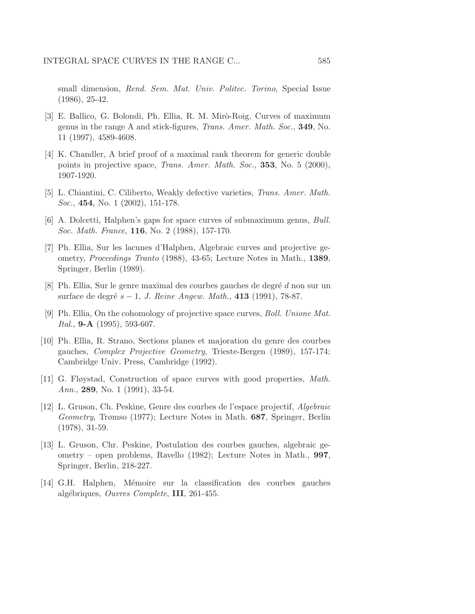small dimension, Rend. Sem. Mat. Univ. Politec. Torino, Special Issue (1986), 25-42.

- [3] E. Ballico, G. Bolondi, Ph. Ellia, R. M. Mirò-Roig, Curves of maximum genus in the range A and stick-figures, Trans. Amer. Math. Soc., 349, No. 11 (1997), 4589-4608.
- [4] K. Chandler, A brief proof of a maximal rank theorem for generic double points in projective space, Trans. Amer. Math. Soc., 353, No. 5 (2000), 1907-1920.
- [5] L. Chiantini, C. Ciliberto, Weakly defective varieties, Trans. Amer. Math. Soc., 454, No. 1 (2002), 151-178.
- [6] A. Dolcetti, Halphen's gaps for space curves of submaximum genus, Bull. Soc. Math. France, 116, No. 2 (1988), 157-170.
- [7] Ph. Ellia, Sur les lacunes d'Halphen, Algebraic curves and projective geometry, Proceedings Tranto (1988), 43-65; Lecture Notes in Math., 1389, Springer, Berlin (1989).
- [8] Ph. Ellia, Sur le genre maximal des courbes gauches de degré  $d$  non sur un surface de degré  $s - 1$ , J. Reine Angew. Math., 413 (1991), 78-87.
- [9] Ph. Ellia, On the cohomology of projective space curves, Boll. Unione Mat. Ital., **9-A** (1995), 593-607.
- [10] Ph. Ellia, R. Strano, Sections planes et majoration du genre des courbes gauches, Complex Projective Geometry, Trieste-Bergen (1989), 157-174; Cambridge Univ. Press, Cambridge (1992).
- [11] G. Fløystad, Construction of space curves with good properties, Math. Ann., 289, No. 1 (1991), 33-54.
- [12] L. Gruson, Ch. Peskine, Genre des courbes de l'espace projectif, Algebraic Geometry, Trømso (1977); Lecture Notes in Math. 687, Springer, Berlin (1978), 31-59.
- [13] L. Gruson, Chr. Peskine, Postulation des courbes gauches, algebraic geometry – open problems, Ravello (1982); Lecture Notes in Math., 997, Springer, Berlin, 218-227.
- [14] G.H. Halphen, M´emoire sur la classification des courbes gauches algébriques, Ouvres Complete, III, 261-455.